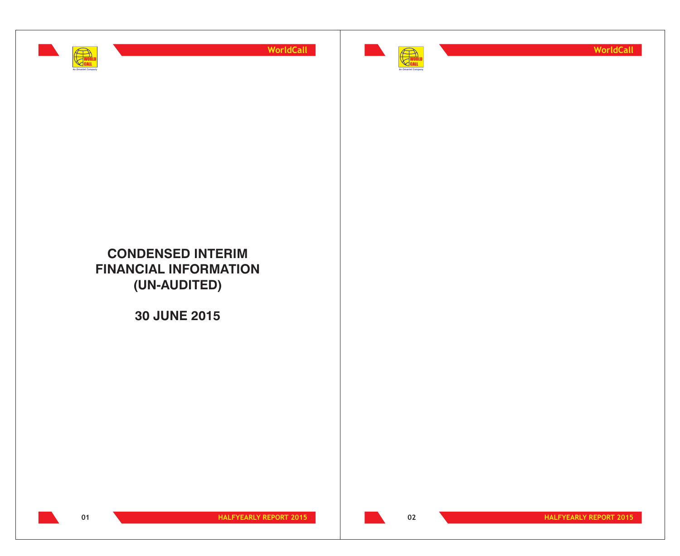



**WorldCall**

## **CONDENSED INTERIM FINANCIAL INFORMATION (UN-AUDITED)**

**30 JUNE 2015**



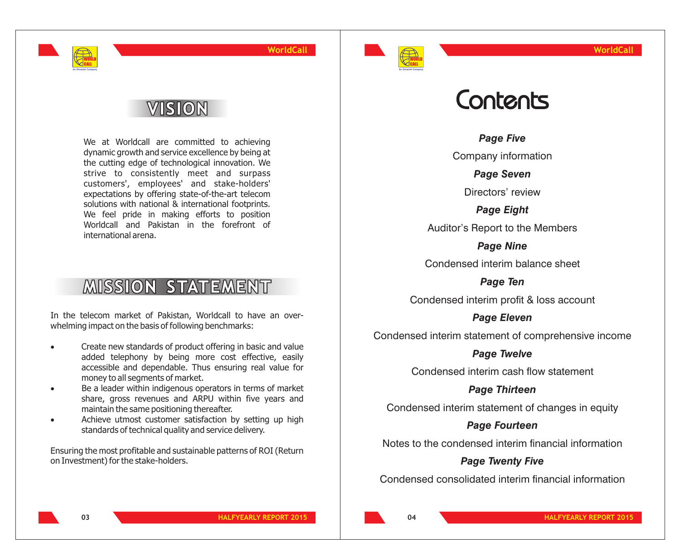

## VISION

WORLD CALL **An Omantel Company**

> We at Worldcall are committed to achieving dynamic growth and service excellence by being at the cutting edge of technological innovation. We strive to consistently meet and surpass customers', employees' and stake-holders' expectations by offering state-of-the-art telecom solutions with national & international footprints. We feel pride in making efforts to position Worldcall and Pakistan in the forefront of international arena.

## **MISSION STATEMENT**

In the telecom market of Pakistan, Worldcall to have an overwhelming impact on the basis of following benchmarks:

- · Create new standards of product offering in basic and value added telephony by being more cost effective, easily accessible and dependable. Thus ensuring real value for
- · money to all segments of market. Be a leader within indigenous operators in terms of market share, gross revenues and ARPU within five years and
- · maintain the same positioning thereafter. Achieve utmost customer satisfaction by setting up high standards of technical quality and service delivery.

Ensuring the most profitable and sustainable patterns of ROI (Return on Investment) for the stake-holders.

## Contents

*Page Five*

Company information

*Page Seven*

Directors' review

*Page Eight*

Auditor's Report to the Members

*Page Nine* Condensed interim balance sheet

*Page Ten*

Condensed interim profit & loss account

*Page Eleven*

Condensed interim statement of comprehensive income

## *Page Twelve*

Condensed interim cash flow statement

*Page Thirteen*

Condensed interim statement of changes in equity

## *Page Fourteen*

Notes to the condensed interim financial information

## *Page Twenty Five*

Condensed consolidated interim financial information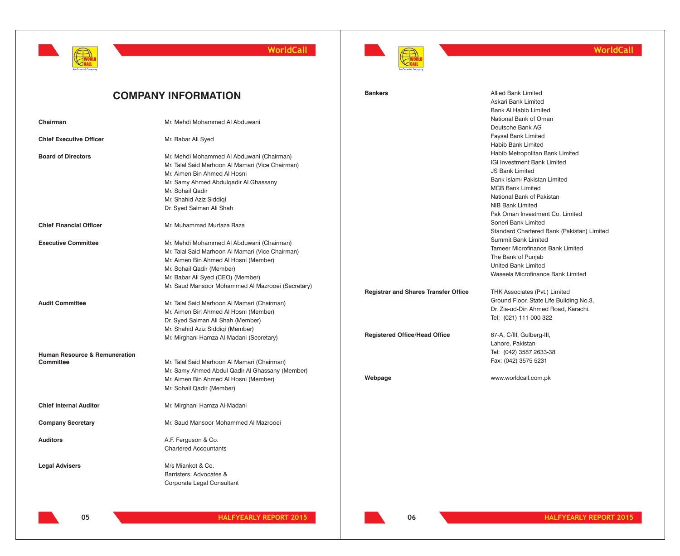



## **WorldCall**

|                                          | <b>COMPANY INFORMATION</b>                        | <b>Bankers</b>                              | <b>Allied Bank Limited</b>                 |
|------------------------------------------|---------------------------------------------------|---------------------------------------------|--------------------------------------------|
|                                          |                                                   |                                             | Askari Bank Limited                        |
|                                          |                                                   |                                             | <b>Bank AI Habib Limited</b>               |
| Chairman                                 | Mr. Mehdi Mohammed Al Abduwani                    |                                             | National Bank of Oman                      |
|                                          |                                                   |                                             | Deutsche Bank AG                           |
| <b>Chief Executive Officer</b>           | Mr. Babar Ali Syed                                |                                             | Faysal Bank Limited                        |
|                                          |                                                   |                                             | Habib Bank Limited                         |
| <b>Board of Directors</b>                | Mr. Mehdi Mohammed Al Abduwani (Chairman)         |                                             | Habib Metropolitan Bank Limited            |
|                                          | Mr. Talal Said Marhoon Al Mamari (Vice Chairman)  |                                             | IGI Investment Bank Limited                |
|                                          | Mr. Aimen Bin Ahmed Al Hosni                      |                                             | <b>JS Bank Limited</b>                     |
|                                          | Mr. Samy Ahmed Abdulgadir Al Ghassany             |                                             | Bank Islami Pakistan Limited               |
|                                          | Mr. Sohail Qadir                                  |                                             | <b>MCB Bank Limited</b>                    |
|                                          | Mr. Shahid Aziz Siddigi                           |                                             | National Bank of Pakistan                  |
|                                          | Dr. Syed Salman Ali Shah                          |                                             | <b>NIB Bank Limited</b>                    |
|                                          |                                                   |                                             | Pak Oman Investment Co. Limited            |
| <b>Chief Financial Officer</b>           | Mr. Muhammad Murtaza Raza                         |                                             | Soneri Bank Limited                        |
|                                          |                                                   |                                             | Standard Chartered Bank (Pakistan) Limited |
| <b>Executive Committee</b>               | Mr. Mehdi Mohammed Al Abduwani (Chairman)         |                                             | <b>Summit Bank Limited</b>                 |
|                                          | Mr. Talal Said Marhoon Al Mamari (Vice Chairman)  |                                             | <b>Tameer Microfinance Bank Limited</b>    |
|                                          | Mr. Aimen Bin Ahmed Al Hosni (Member)             |                                             | The Bank of Punjab                         |
|                                          | Mr. Sohail Qadir (Member)                         |                                             | United Bank Limited                        |
|                                          | Mr. Babar Ali Syed (CEO) (Member)                 |                                             | Waseela Microfinance Bank Limited          |
|                                          | Mr. Saud Mansoor Mohammed Al Mazrooei (Secretary) |                                             |                                            |
|                                          |                                                   | <b>Registrar and Shares Transfer Office</b> | THK Associates (Pvt.) Limited              |
| <b>Audit Committee</b>                   | Mr. Talal Said Marhoon Al Mamari (Chairman)       |                                             | Ground Floor, State Life Building No.3,    |
|                                          | Mr. Aimen Bin Ahmed Al Hosni (Member)             |                                             | Dr. Zia-ud-Din Ahmed Road, Karachi.        |
|                                          | Dr. Syed Salman Ali Shah (Member)                 |                                             | Tel: (021) 111-000-322                     |
|                                          | Mr. Shahid Aziz Siddiqi (Member)                  |                                             |                                            |
|                                          | Mr. Mirghani Hamza Al-Madani (Secretary)          | <b>Registered Office/Head Office</b>        | 67-A, C/III, Gulberg-III,                  |
|                                          |                                                   |                                             | Lahore, Pakistan                           |
| <b>Human Resource &amp; Remuneration</b> |                                                   |                                             | Tel: (042) 3587 2633-38                    |
| Committee                                | Mr. Talal Said Marhoon Al Mamari (Chairman)       |                                             | Fax: (042) 3575 5231                       |
|                                          | Mr. Samy Ahmed Abdul Qadir Al Ghassany (Member)   |                                             |                                            |
|                                          | Mr. Aimen Bin Ahmed Al Hosni (Member)             | Webpage                                     | www.worldcall.com.pk                       |
|                                          | Mr. Sohail Qadir (Member)                         |                                             |                                            |
| <b>Chief Internal Auditor</b>            | Mr. Mirghani Hamza Al-Madani                      |                                             |                                            |
| <b>Company Secretary</b>                 | Mr. Saud Mansoor Mohammed Al Mazrooei             |                                             |                                            |
| <b>Auditors</b>                          | A.F. Ferguson & Co.                               |                                             |                                            |
|                                          | <b>Chartered Accountants</b>                      |                                             |                                            |
| <b>Legal Advisers</b>                    | M/s Miankot & Co.                                 |                                             |                                            |
|                                          | Barristers, Advocates &                           |                                             |                                            |
|                                          | Corporate Legal Consultant                        |                                             |                                            |
|                                          |                                                   |                                             |                                            |
|                                          |                                                   |                                             |                                            |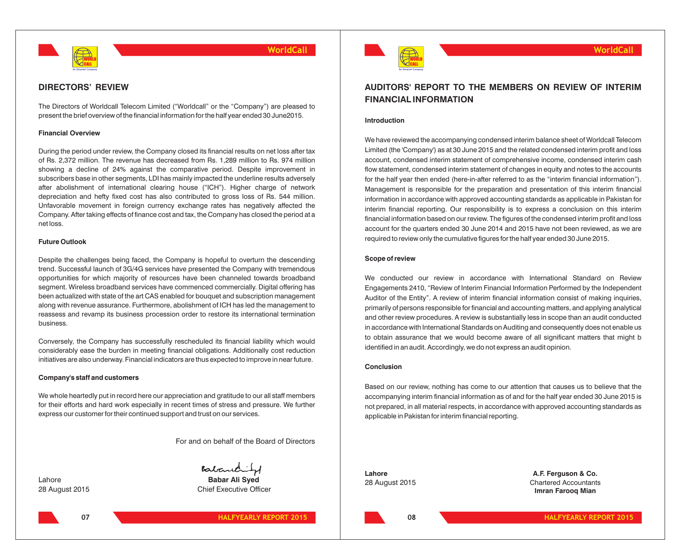

### **DIRECTORS' REVIEW**

The Directors of Worldcall Telecom Limited ("Worldcall" or the "Company") are pleased to present the brief overview of the financial information for the half year ended 30 June2015.

#### **Financial Overview**

During the period under review, the Company closed its financial results on net loss after tax of Rs. 2,372 million. The revenue has decreased from Rs. 1,289 million to Rs. 974 million showing a decline of 24% against the comparative period. Despite improvement in subscribers base in other segments, LDI has mainly impacted the underline results adversely after abolishment of international clearing house ("ICH"). Higher charge of network depreciation and hefty fixed cost has also contributed to gross loss of Rs. 544 million. Unfavorable movement in foreign currency exchange rates has negatively affected the Company. After taking effects of finance cost and tax, the Company has closed the period at a net loss.

#### **Future Outlook**

Despite the challenges being faced, the Company is hopeful to overturn the descending trend. Successful launch of 3G/4G services have presented the Company with tremendous opportunities for which majority of resources have been channeled towards broadband segment. Wireless broadband services have commenced commercially. Digital offering has been actualized with state of the art CAS enabled for bouquet and subscription management along with revenue assurance. Furthermore, abolishment of ICH has led the management to reassess and revamp its business procession order to restore its international termination business.

Conversely, the Company has successfully rescheduled its financial liability which would considerably ease the burden in meeting financial obligations. Additionally cost reduction initiatives are also underway. Financial indicators are thus expected to improve in near future.

#### **Company's staff and customers**

We whole heartedly put in record here our appreciation and gratitude to our all staff members for their efforts and hard work especially in recent times of stress and pressure. We further express our customer for their continued support and trust on our services.

For and on behalf of the Board of Directors

**07**



28 August 2015 Chief Executive Officer



## **AUDITORS' REPORT TO THE MEMBERS ON REVIEW OF INTERIM FINANCIAL INFORMATION**

#### **Introduction**

We have reviewed the accompanying condensed interim balance sheet of Worldcall Telecom Limited (the 'Company') as at 30 June 2015 and the related condensed interim profit and loss account, condensed interim statement of comprehensive income, condensed interim cash flow statement, condensed interim statement of changes in equity and notes to the accounts for the half year then ended (here-in-after referred to as the "interim financial information"). Management is responsible for the preparation and presentation of this interim financial information in accordance with approved accounting standards as applicable in Pakistan for interim financial reporting. Our responsibility is to express a conclusion on this interim financial information based on our review. The figures of the condensed interim profit and loss account for the quarters ended 30 June 2014 and 2015 have not been reviewed, as we are required to review only the cumulative figures for the half year ended 30 June 2015.

#### **Scope of review**

We conducted our review in accordance with International Standard on Review Engagements 2410, "Review of Interim Financial Information Performed by the Independent Auditor of the Entity". A review of interim financial information consist of making inquiries, primarily of persons responsible for financial and accounting matters, and applying analytical and other review procedures. A review is substantially less in scope than an audit conducted in accordance with International Standards on Auditing and consequently does not enable us to obtain assurance that we would become aware of all significant matters that might b identified in an audit. Accordingly, we do not express an audit opinion.

#### **Conclusion**

Based on our review, nothing has come to our attention that causes us to believe that the accompanying interim financial information as of and for the half year ended 30 June 2015 is not prepared, in all material respects, in accordance with approved accounting standards as applicable in Pakistan for interim financial reporting.

**Lahore A.F. Ferguson & Co.** 28 August 2015 Chartered Accountants **Imran Farooq Mian**

**08**

**HALFYEARLY REPORT 2015 HALFYEARLY REPORT 2015**

**WorldCall**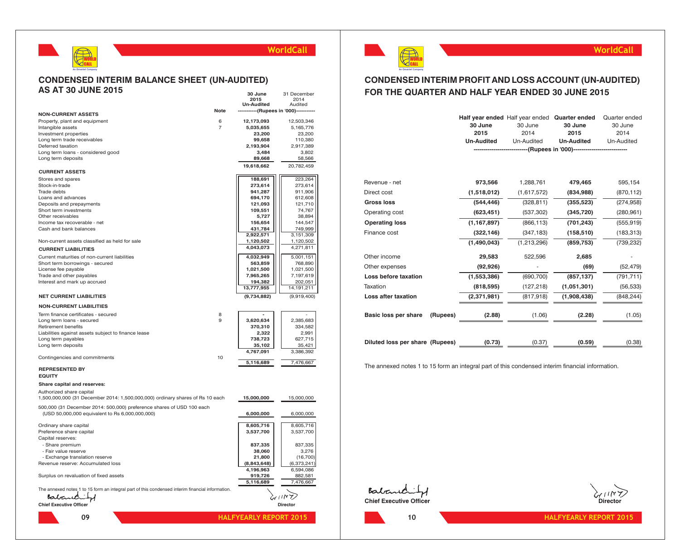

#### **CONDENSED INTERIM BALANCE SHEET (UN-AUDITED) AS AT 30 JUNE 2015 30 June** 31 December

|                                                                                                                          |                | JV UUIIG<br>2015                    | ,,,,,,,,,,,,,,,,,,<br>2014 |
|--------------------------------------------------------------------------------------------------------------------------|----------------|-------------------------------------|----------------------------|
|                                                                                                                          |                | <b>Un-Audited</b>                   | Audited                    |
| <b>NON-CURRENT ASSETS</b>                                                                                                | Note           | ------------(Rupees in '000)------- |                            |
| Property, plant and equipment                                                                                            | 6              | 12,173,093                          | 12,503,346                 |
| Intangible assets                                                                                                        | $\overline{7}$ | 5,035,655                           | 5,165,776                  |
| Investment properties                                                                                                    |                | 23,200                              | 23,200                     |
| Long term trade receivables                                                                                              |                | 99,658                              | 110,380                    |
| Deferred taxation                                                                                                        |                | 2,193,904                           | 2,917,389                  |
| Long term loans - considered good                                                                                        |                | 3,484                               | 3,802                      |
| Long term deposits                                                                                                       |                | 89,668                              | 58,566                     |
| <b>CURRENT ASSETS</b>                                                                                                    |                | 19,618,662                          | 20,782,459                 |
| Stores and spares                                                                                                        |                | 188,691                             | 223,264                    |
| Stock-in-trade                                                                                                           |                | 273,614                             | 273,614                    |
| Trade debts                                                                                                              |                | 941,287                             | 911,906                    |
| Loans and advances                                                                                                       |                | 694,170                             | 612,608                    |
| Deposits and prepayments                                                                                                 |                | 121,093                             | 121,710                    |
| Short term investments                                                                                                   |                | 109,551                             | 74,767                     |
| Other receivables                                                                                                        |                | 5,727                               | 38,894                     |
| Income tax recoverable - net                                                                                             |                | 156,654                             | 144,547                    |
| Cash and bank balances                                                                                                   |                | 431,784                             | 749,999                    |
| Non-current assets classified as held for sale                                                                           |                | 2,922,571<br>1,120,502              | 3,151,309<br>1,120,502     |
|                                                                                                                          |                | 4,043,073                           | 4,271,811                  |
| <b>CURRENT LIABILITIES</b>                                                                                               |                |                                     |                            |
| Current maturities of non-current liabilities                                                                            |                | 4,032,949                           | 5,001,151                  |
| Short term borrowings - secured<br>License fee payable                                                                   |                | 563,859<br>1,021,500                | 768,890<br>1,021,500       |
| Trade and other payables                                                                                                 |                | 7,965,265                           | 7,197,619                  |
| Interest and mark up accrued                                                                                             |                | 194,382                             | 202,051                    |
|                                                                                                                          |                | 13,777,955                          | 14, 191, 211               |
| <b>NET CURRENT LIABILITIES</b>                                                                                           |                | (9,734,882)                         | (9,919,400)                |
| <b>NON-CURRENT LIABILITIES</b>                                                                                           |                |                                     |                            |
| Term finance certificates - secured                                                                                      | 8              |                                     |                            |
| Long term loans - secured                                                                                                | 9              | 3,620,634                           | 2,385,683                  |
| Retirement benefits                                                                                                      |                | 370,310                             | 334,582                    |
| Liabilities against assets subject to finance lease                                                                      |                | 2,322                               | 2,991                      |
| Long term payables                                                                                                       |                | 738,723                             | 627,715                    |
| Long term deposits                                                                                                       |                | 35,102                              | 35,421                     |
|                                                                                                                          |                | 4,767,091                           | 3,386,392                  |
| Contingencies and commitments                                                                                            | 10             | 5,116,689                           | 7,476,667                  |
| <b>REPRESENTED BY</b>                                                                                                    |                |                                     |                            |
| <b>EQUITY</b>                                                                                                            |                |                                     |                            |
| Share capital and reserves:                                                                                              |                |                                     |                            |
|                                                                                                                          |                |                                     |                            |
| Authorized share capital<br>1,500,000,000 (31 December 2014: 1,500,000,000) ordinary shares of Rs 10 each                |                | 15,000,000                          | 15,000,000                 |
| 500,000 (31 December 2014: 500,000) preference shares of USD 100 each<br>(USD 50,000,000 equivalent to Rs 6,000,000,000) |                | 6,000,000                           | 6,000,000                  |
| Ordinary share capital                                                                                                   |                | 8,605,716                           | 8,605,716                  |
| Preference share capital                                                                                                 |                | 3,537,700                           | 3,537,700                  |
| Capital reserves:                                                                                                        |                |                                     |                            |
| - Share premium                                                                                                          |                | 837,335                             | 837,335                    |
| - Fair value reserve                                                                                                     |                | 38,060                              | 3,276                      |
| - Exchange translation reserve                                                                                           |                | 21,800                              | (16, 700)                  |
| Revenue reserve: Accumulated loss                                                                                        |                | (8,843,648)                         | (6,373,241)                |
|                                                                                                                          |                | 4,196,963                           | 6,594,086                  |
| Surplus on revaluation of fixed assets                                                                                   |                | 919,726                             | 882,581                    |

Surplus on revaluation of fixed assets **919,726** 882,581 882,581 882,581 882,581 882,581 882,581 882,581 882,581 882,581 882,581 882,581 882,581 882,581 882,581 882,581 882,581 882,581 882,581 882,581 882,581 882,581 882,5

**09**

The annexed notes 1 to 15 form an integral part of this condensed interim financial information.<br> **Polonic Lines** 

**Chief Executive Officer Chief Executive Officer Director** 

**5,116,689** 7,476,667

 $\forall$ וווא $\forall$ 



## **WorldCall**

## **CONDENSED INTERIM PROFIT AND LOSS ACCOUNT (UN-AUDITED) FOR THE QUARTER AND HALF YEAR ENDED 30 JUNE 2015**

|                                  | 30 June<br>2015<br><b>Un-Audited</b> | Half year ended Half year ended Quarter ended<br>30 June<br>2014<br>Un-Audited | 30 June<br>2015<br><b>Un-Audited</b><br>-----(Rupees in '000)---------------------------- | Quarter ended<br>30 June<br>2014<br>Un-Audited |
|----------------------------------|--------------------------------------|--------------------------------------------------------------------------------|-------------------------------------------------------------------------------------------|------------------------------------------------|
|                                  |                                      |                                                                                |                                                                                           |                                                |
| Revenue - net                    | 973,566                              | 1,288,761                                                                      | 479,465                                                                                   | 595,154                                        |
| Direct cost                      | (1,518,012)                          | (1,617,572)                                                                    | (834, 988)                                                                                | (870, 112)                                     |
| <b>Gross loss</b>                | (544, 446)                           | (328, 811)                                                                     | (355, 523)                                                                                | (274, 958)                                     |
| Operating cost                   | (623, 451)                           | (537, 302)                                                                     | (345, 720)                                                                                | (280, 961)                                     |
| <b>Operating loss</b>            | (1, 167, 897)                        | (866, 113)                                                                     | (701, 243)                                                                                | (555, 919)                                     |
| Finance cost                     | (322, 146)                           | (347, 183)                                                                     | (158, 510)                                                                                | (183, 313)                                     |
|                                  | (1,490,043)                          | (1,213,296)                                                                    | (859, 753)                                                                                | (739, 232)                                     |
| Other income                     | 29,583                               | 522,596                                                                        | 2,685                                                                                     |                                                |
| Other expenses                   | (92, 926)                            |                                                                                | (69)                                                                                      | (52, 479)                                      |
| Loss before taxation             | (1,553,386)                          | (690, 700)                                                                     | (857, 137)                                                                                | (791, 711)                                     |
| Taxation                         | (818, 595)                           | (127, 218)                                                                     | (1,051,301)                                                                               | (56, 533)                                      |
| Loss after taxation              | (2,371,981)                          | (817,918)                                                                      | (1,908,438)                                                                               | (848, 244)                                     |
| Basic loss per share<br>(Rupees) | (2.88)                               | (1.06)                                                                         | (2.28)                                                                                    | (1.05)                                         |
| Diluted loss per share (Rupees)  | (0.73)                               | (0.37)                                                                         | (0.59)                                                                                    | (0.38)                                         |

The annexed notes 1 to 15 form an integral part of this condensed interim financial information.

Babancrity **Chief Executive Officer Chief Executive Officer Chief Chief Chief Chief Chief Chief Chief Chief Chief Chief Chief Chief Chief Chief Chief Chief Chief Chief Chief Chief Chief Chief Chief Chief Chief Chief Chief Chief Chief** 



**10**

**HALFYEARLY REPORT 2015 HALFYEARLY REPORT 2015**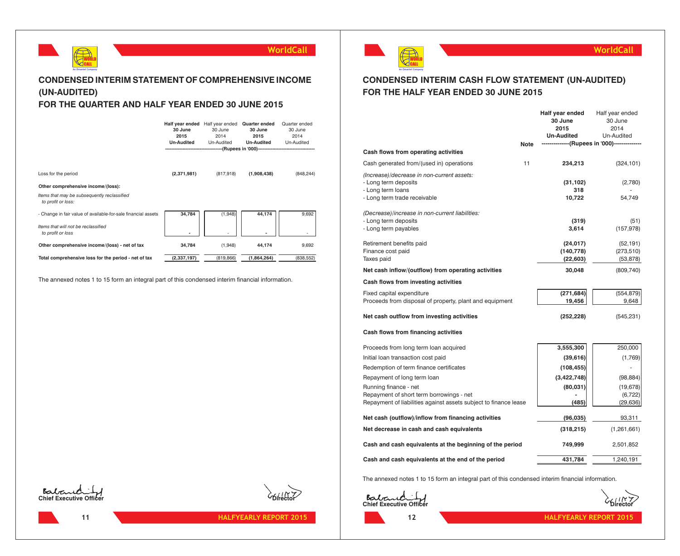

## **CONDENSED INTERIM STATEMENT OF COMPREHENSIVE INCOME (UN-AUDITED)**

## **FOR THE QUARTER AND HALF YEAR ENDED 30 JUNE 2015**

|                                                                   | 30 June<br>2015<br><b>Un-Audited</b> | Half year ended Half year ended<br>30 June<br>2014<br>Un-Audited<br>----------------------(Rupees in '000)---------------------------- | Quarter ended<br>30 June<br>2015<br><b>Un-Audited</b> | Quarter ended<br>30 June<br>2014<br>Un-Audited |
|-------------------------------------------------------------------|--------------------------------------|----------------------------------------------------------------------------------------------------------------------------------------|-------------------------------------------------------|------------------------------------------------|
| Loss for the period                                               | (2,371,981)                          | (817,918)                                                                                                                              | (1,908,438)                                           | (848, 244)                                     |
| Other comprehensive income/(loss):                                |                                      |                                                                                                                                        |                                                       |                                                |
| Items that may be subsequently reclassified<br>to profit or loss: |                                      |                                                                                                                                        |                                                       |                                                |
| - Change in fair value of available-for-sale financial assets     | 34,784                               | (1,948)                                                                                                                                | 44,174                                                | 9,692                                          |
| Items that will not be reclassified<br>to profit or loss          |                                      |                                                                                                                                        |                                                       |                                                |
| Other comprehensive income/(loss) - net of tax                    | 34,784                               | (1,948)                                                                                                                                | 44,174                                                | 9,692                                          |
| Total comprehensive loss for the period - net of tax              | (2, 337, 197)                        | (819, 866)                                                                                                                             | (1,864,264)                                           | (838, 552)                                     |

The annexed notes 1 to 15 form an integral part of this condensed interim financial information.









## **CONDENSED INTERIM CASH FLOW STATEMENT (UN-AUDITED) FOR THE HALF YEAR ENDED 30 JUNE 2015**

|                                                                                                                         |             | Half year ended<br>30 June            | Half year ended<br>30 June           |
|-------------------------------------------------------------------------------------------------------------------------|-------------|---------------------------------------|--------------------------------------|
|                                                                                                                         |             | 2015                                  | 2014                                 |
|                                                                                                                         |             | <b>Un-Audited</b>                     | Un-Audited                           |
|                                                                                                                         | <b>Note</b> | -----------(Rupees in '000)---------- |                                      |
| Cash flows from operating activities                                                                                    |             |                                       |                                      |
| Cash generated from/(used in) operations                                                                                | 11          | 234,213                               | (324, 101)                           |
| (Increase)/decrease in non-current assets:<br>- Long term deposits<br>- Long term loans<br>- Long term trade receivable |             | (31, 102)<br>318<br>10,722            | (2,780)<br>54,749                    |
| (Decrease)/increase in non-current liabilities:<br>- Long term deposits<br>- Long term payables                         |             | (319)<br>3,614                        | (51)<br>(157, 978)                   |
| Retirement benefits paid<br>Finance cost paid<br>Taxes paid                                                             |             | (24, 017)<br>(140, 778)<br>(22, 603)  | (52, 191)<br>(273, 510)<br>(53, 878) |
| Net cash inflow/(outflow) from operating activities                                                                     |             | 30,048                                | (809, 740)                           |
| Cash flows from investing activities                                                                                    |             |                                       |                                      |
| Fixed capital expenditure<br>Proceeds from disposal of property, plant and equipment                                    |             | (271, 684)<br>19,456                  | (554, 879)<br>9,648                  |
| Net cash outflow from investing activities                                                                              |             | (252, 228)                            | (545,231)                            |
| Cash flows from financing activities                                                                                    |             |                                       |                                      |
| Proceeds from long term loan acquired                                                                                   |             | 3,555,300                             | 250,000                              |
| Initial loan transaction cost paid                                                                                      |             | (39, 616)                             | (1,769)                              |
| Redemption of term finance certificates                                                                                 |             | (108, 455)                            | ÷,                                   |
| Repayment of long term loan                                                                                             |             | (3, 422, 748)                         | (98, 884)                            |
| Running finance - net                                                                                                   |             | (80, 031)                             | (19, 678)                            |
| Repayment of short term borrowings - net                                                                                |             |                                       | (6, 722)                             |
| Repayment of liabilities against assets subject to finance lease                                                        |             | (485)                                 | (29, 636)                            |
| Net cash (outflow)/inflow from financing activities                                                                     |             | (96, 035)                             | 93,311                               |
| Net decrease in cash and cash equivalents                                                                               |             | (318, 215)                            | (1,261,661)                          |
| Cash and cash equivalents at the beginning of the period                                                                |             | 749,999                               | 2,501,852                            |
| Cash and cash equivalents at the end of the period                                                                      |             | 431,784                               | 1,240,191                            |

The annexed notes 1 to 15 form an integral part of this condensed interim financial information.

**Eabourding**<br>Chief Executive Officer



**WorldCall**

**12**

**HALFYEARLY REPORT 2015 HALFYEARLY REPORT 2015**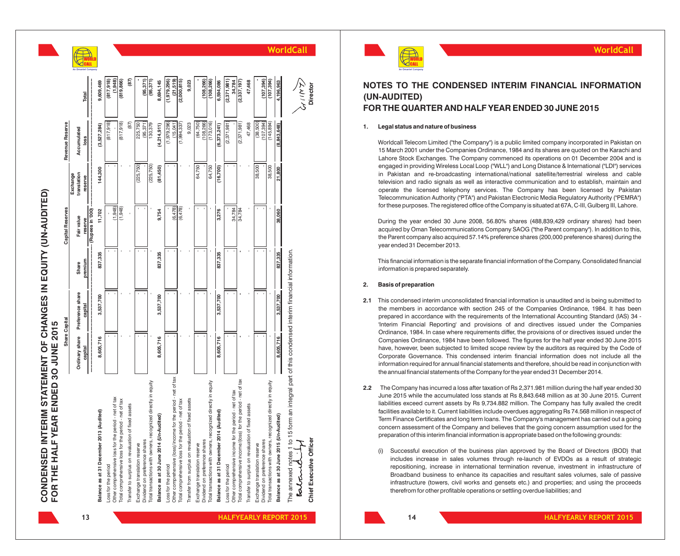| <b>CONDENSED INTERIM STATEMENT</b><br>FOR THE HALF YEAR ENDED 30 JUI |  |
|----------------------------------------------------------------------|--|
|                                                                      |  |
|                                                                      |  |

|                                                                                      |           | Share Capital                              |                  | <b>Capital Reserves</b> |                                   | Revenue Reserve         |                         |
|--------------------------------------------------------------------------------------|-----------|--------------------------------------------|------------------|-------------------------|-----------------------------------|-------------------------|-------------------------|
|                                                                                      | capital   | Ordinary share Preference share<br>capital | premium<br>Share | Fair value              | ranslation<br>Exchange<br>reserve | Accumulated<br>loss     | Total                   |
| Balance as at 31 December 2013 (Audited)                                             | 8,605,716 | 3,537,700                                  | 837,335          | (Rupees in '000)        | 144,300                           | (3,527,284)             | 9,609,469               |
|                                                                                      |           |                                            |                  | 11,702                  |                                   |                         |                         |
| Other comprehensive loss for the period - net of tax<br>Loss for the period          |           |                                            |                  | (1,948)                 |                                   | (817, 918)              | (817, 918)<br>(1,948)   |
| Total comprehensive loss for the period - net of tax                                 |           |                                            |                  | (1,948)                 |                                   | 817,918)                | (819, 866)              |
| Transfer to surplus on revaluation of fixed assets                                   |           |                                            |                  |                         |                                   | (87)                    | (87)                    |
| Dividend on preference shares<br>Exchange translation reserve                        |           |                                            |                  |                         | (225, 750)                        | 225,750<br>(95, 371)    | 95,371)                 |
| Total transactions with owners, recognized directly in equity                        |           |                                            |                  |                         | (225, 750)                        | 130,379                 | (95, 371)               |
| Balance as at 30 June 2014 (Un-Audited)                                              | 8,605,716 | 3,537,700                                  | 837,335          | 9,754                   | (81, 450)                         | (4,214,911)             | 8,694,145               |
| Other comprehensive (loss)/income for the period - net of tax<br>Loss for the period |           |                                            |                  | (6, 478)                |                                   | (1,979,296)<br>(15,041) | (21,519)<br>(1,979,296) |
| Total comprehensive loss for the period - net of tax                                 |           |                                            |                  | (6, 478)                |                                   | (1,994,337)             | (2,000,815)             |
| Transfer from surplus on revaluation of fixed assets                                 |           |                                            |                  |                         |                                   | 9,023                   | 9,023                   |
| Dividend on preference shares<br>Exchange translation reserve                        |           |                                            |                  |                         | 64,750                            | (108, 266)<br>(64, 750) | (108, 266)              |
| Total transactions with owners, recognized directly in equity                        |           |                                            |                  |                         | 64,750                            | (173, 016)              | (108, 266)              |
| Balance as at 31 December 2014 (Audited)                                             | 8,605,716 | 3,537,700                                  | 837,335          | 3,276                   | (16, 700)                         | (6, 373, 241)           | 6,594,086               |
| Other comprehensive income for the period - net of tax<br>Loss for the period        |           |                                            |                  | 34,784                  |                                   | (2,371,981)             | (2,371,981)<br>34,784   |
| Total comprehensive income/(loss) for the period - net of tax                        |           |                                            |                  | 34,784                  |                                   | (2,371,981)             | (2,337,197)             |
| Transfer to surplus on revaluation of fixed assets                                   |           |                                            |                  |                         |                                   | 47,468                  | 47,468                  |
| Dividend on preference shares<br>Exchange translation reserve                        |           |                                            |                  |                         | 38,500                            | (38,500)<br>107,394     | 107.394)                |
| Total transactions with owners, recognized directly in equity                        |           |                                            |                  |                         | 38,500                            | (145, 894)              | (107, 394)              |
| Balance as at 30 June 2015 (Un-Audited)                                              | 8,605,716 | 3,537,700                                  | 837,335          | 38,060                  | 21,800                            | (8, 843, 648)           | 4,196,963               |



**Chief Executive Officer Director**

### **NOTES TO THE CONDENSED INTERIM FINANCIAL INFORMATION (UN-AUDITED) FOR THE QUARTER AND HALF YEAR ENDED 30 JUNE 2015**

#### **1. Legal status and nature of business**

Worldcall Telecom Limited ("the Company") is a public limited company incorporated in Pakistan on 15 March 2001 under the Companies Ordinance, 1984 and its shares are quoted on the Karachi and Lahore Stock Exchanges. The Company commenced its operations on 01 December 2004 and is engaged in providing Wireless Local Loop ("WLL") and Long Distance & International ("LDI") services in Pakistan and re-broadcasting international/national satellite/terrestrial wireless and cable television and radio signals as well as interactive communication and to establish, maintain and operate the licensed telephony services. The Company has been licensed by Pakistan Telecommunication Authority ("PTA") and Pakistan Electronic Media Regulatory Authority ("PEMRA") for these purposes. The registered office of the Company is situated at 67A, C-III, Gulberg III, Lahore.

During the year ended 30 June 2008, 56.80% shares (488,839,429 ordinary shares) had been acquired by Oman Telecommunications Company SAOG ("the Parent company"). In addition to this, the Parent company also acquired 57.14% preference shares (200,000 preference shares) during the year ended 31 December 2013.

This financial information is the separate financial information of the Company. Consolidated financial information is prepared separately.

#### **2. Basis of preparation**

- **2.1** This condensed interim unconsolidated financial information is unaudited and is being submitted to the members in accordance with section 245 of the Companies Ordinance, 1984. It has been prepared in accordance with the requirements of the International Accounting Standard (IAS) 34 - 'Interim Financial Reporting' and provisions of and directives issued under the Companies Ordinance, 1984. In case where requirements differ, the provisions of or directives issued under the Companies Ordinance, 1984 have been followed. The figures for the half year ended 30 June 2015 have, however, been subjected to limited scope review by the auditors as required by the Code of Corporate Governance. This condensed interim financial information does not include all the information required for annual financial statements and therefore, should be read in conjunction with the annual financial statements of the Company for the year ended 31 December 2014.
- **2.2** The Company has incurred a loss after taxation of Rs 2,371.981 million during the half year ended 30 June 2015 while the accumulated loss stands at Rs 8,843.648 million as at 30 June 2015. Current liabilities exceed current assets by Rs 9,734.882 million. The Company has fully availed the credit facilities available to it. Current liabilities include overdues aggregating Rs 74.568 million in respect of Term Finance Certificates and long term loans. The Company's management has carried out a going concern assessment of the Company and believes that the going concern assumption used for the preparation of this interim financial information is appropriate based on the following grounds:
	- (i) Successful execution of the business plan approved by the Board of Directors (BOD) that includes increase in sales volumes through re-launch of EVDOs as a result of strategic repositioning, increase in international termination revenue, investment in infrastructure of Broadband business to enhance its capacities and resultant sales volumes, sale of passive infrastructure (towers, civil works and gensets etc.) and properties; and using the proceeds therefrom for other profitable operations or settling overdue liabilities; and

**13**

**14**

**WorldCall**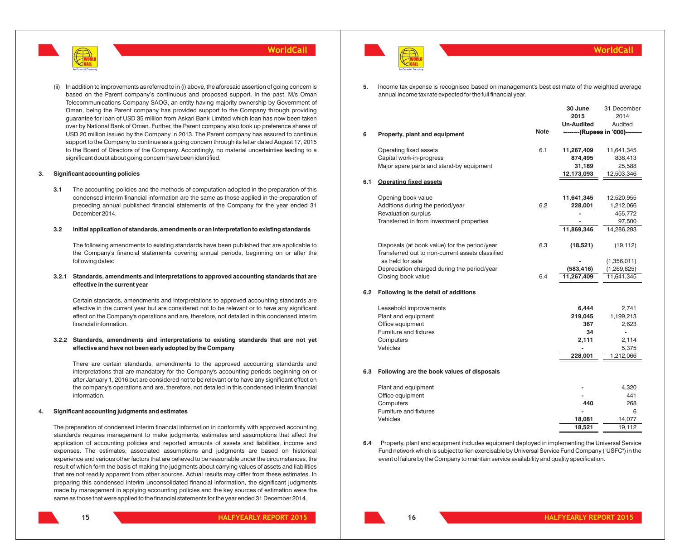

In addition to improvements as referred to in (i) above, the aforesaid assertion of going concern is based on the Parent company's continuous and proposed support. In the past, M/s Oman Telecommunications Company SAOG, an entity having majority ownership by Government of Oman, being the Parent company has provided support to the Company through providing guarantee for loan of USD 35 million from Askari Bank Limited which loan has now been taken over by National Bank of Oman. Further, the Parent company also took up preference shares of USD 20 million issued by the Company in 2013. The Parent company has assured to continue support to the Company to continue as a going concern through its letter dated August 17, 2015 to the Board of Directors of the Company. Accordingly, no material uncertainties leading to a significant doubt about going concern have been identified.

#### **3. Significant accounting policies**

**3.1** The accounting policies and the methods of computation adopted in the preparation of this condensed interim financial information are the same as those applied in the preparation of preceding annual published financial statements of the Company for the year ended 31 December 2014.

#### **3.2 Initial application of standards, amendments or an interpretation to existing standards**

The following amendments to existing standards have been published that are applicable to the Company's financial statements covering annual periods, beginning on or after the following dates:

#### **3.2.1 Standards, amendments and interpretations to approved accounting standards that are effective in the current year**

Certain standards, amendments and interpretations to approved accounting standards are effective in the current year but are considered not to be relevant or to have any significant effect on the Company's operations and are, therefore, not detailed in this condensed interim financial information.

#### **3.2.2 Standards, amendments and interpretations to existing standards that are not yet effective and have not been early adopted by the Company**

There are certain standards, amendments to the approved accounting standards and interpretations that are mandatory for the Company's accounting periods beginning on or after January 1, 2016 but are considered not to be relevant or to have any significant effect on the company's operations and are, therefore, not detailed in this condensed interim financial information.

#### **4. Significant accounting judgments and estimates**

The preparation of condensed interim financial information in conformity with approved accounting standards requires management to make judgments, estimates and assumptions that affect the application of accounting policies and reported amounts of assets and liabilities, income and expenses. The estimates, associated assumptions and judgments are based on historical experience and various other factors that are believed to be reasonable under the circumstances, the result of which form the basis of making the judgments about carrying values of assets and liabilities that are not readily apparent from other sources. Actual results may differ from these estimates. In preparing this condensed interim unconsolidated financial information, the significant judgments made by management in applying accounting policies and the key sources of estimation were the same as those that were applied to the financial statements for the year ended 31 December 2014.





**5.** Income tax expense is recognised based on management's best estimate of the weighted average annual income tax rate expected for the full financial year.

|     |                                                                                                   | <b>Note</b> | 30 June<br>2015<br><b>Un-Audited</b> | 31 December<br>2014<br>Audited<br>--------(Rupees in '000)-------- |
|-----|---------------------------------------------------------------------------------------------------|-------------|--------------------------------------|--------------------------------------------------------------------|
| 6   | Property, plant and equipment                                                                     |             |                                      |                                                                    |
|     | Operating fixed assets<br>Capital work-in-progress                                                | 6.1         | 11,267,409<br>874,495                | 11,641,345<br>836,413                                              |
|     | Major spare parts and stand-by equipment                                                          |             | 31,189<br>12,173,093                 | 25,588<br>12,503,346                                               |
| 6.1 | <b>Operating fixed assets</b>                                                                     |             |                                      |                                                                    |
|     | Opening book value                                                                                |             | 11,641,345                           | 12,520,955                                                         |
|     | Additions during the period/year<br><b>Revaluation surplus</b>                                    | 6.2         | 228,001                              | 1,212,066<br>455,772                                               |
|     | Transferred in from investment properties                                                         |             |                                      | 97,500                                                             |
|     |                                                                                                   |             | 11,869,346                           | 14,286,293                                                         |
|     | Disposals (at book value) for the period/year<br>Transferred out to non-current assets classified | 6.3         | (18, 521)                            | (19, 112)                                                          |
|     | as held for sale                                                                                  |             |                                      | (1,356,011)                                                        |
|     | Depreciation charged during the period/year                                                       |             | (583, 416)                           | (1, 269, 825)                                                      |
|     | Closing book value                                                                                | 6.4         | 11,267,409                           | 11,641,345                                                         |
| 6.2 | Following is the detail of additions                                                              |             |                                      |                                                                    |
|     | Leasehold improvements                                                                            |             | 6,444                                | 2,741                                                              |
|     | Plant and equipment                                                                               |             | 219,045                              | 1,199,213                                                          |
|     | Office equipment                                                                                  |             | 367                                  | 2,623                                                              |
|     | Furniture and fixtures                                                                            |             | 34                                   | ÷,                                                                 |
|     | Computers                                                                                         |             | 2,111                                | 2,114                                                              |
|     | Vehicles                                                                                          |             | 228,001                              | 5,375<br>1,212,066                                                 |
|     |                                                                                                   |             |                                      |                                                                    |
| 6.3 | Following are the book values of disposals                                                        |             |                                      |                                                                    |
|     | Plant and equipment                                                                               |             |                                      | 4,320                                                              |
|     | Office equipment                                                                                  |             |                                      | 441                                                                |
|     | Computers                                                                                         |             | 440                                  | 268                                                                |
|     | Furniture and fixtures                                                                            |             |                                      | 6                                                                  |
|     | Vehicles                                                                                          |             | 18,081                               | 14,077                                                             |
|     |                                                                                                   |             | 18.521                               | 19.112                                                             |

**6.4** Property, plant and equipment includes equipment deployed in implementing the Universal Service Fund network which is subject to lien exercisable by Universal Service Fund Company ("USFC") in the event of failure by the Company to maintain service availability and quality specification.

#### **WorldCall**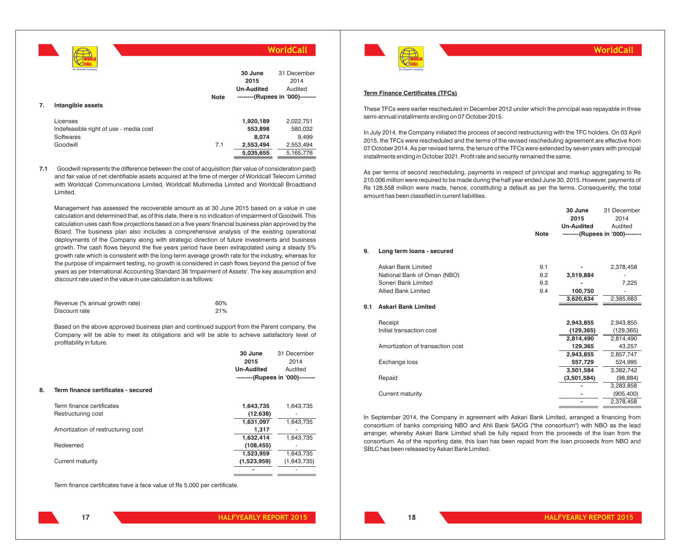**7. Intangible assets** Licenses **1,920,189** 2,022,751 Indefeasible right of use - media cost **553,898** 580,032 Softwares **8,074** 9,499 Goodwill 7.1 **2,553,494** 2,553,494 **5,035,655** 5,165,776 **WorldCall** WORLD CALL **An Omantel Company 30 June 2015 Un-Audited** 31 December 2014 Audited **--------(Rupees in '000)-------- Note**

**7.1** Goodwill represents the difference between the cost of acquisition (fair value of consideration paid) and fair value of net identifiable assets acquired at the time of merger of Worldcall Telecom Limited with Worldcall Communications Limited, Worldcall Multimedia Limited and Worldcall Broadband Limited.

Management has assessed the recoverable amount as at 30 June 2015 based on a value in use calculation and determined that, as of this date, there is no indication of impairment of Goodwill. This calculation uses cash flow projections based on a five years' financial business plan approved by the Board. The business plan also includes a comprehensive analysis of the existing operational deployments of the Company along with strategic direction of future investments and business growth. The cash flows beyond the five years period have been extrapolated using a steady 5% growth rate which is consistent with the long-term average growth rate for the industry, whereas for the purpose of impairment testing, no growth is considered in cash flows beyond the period of five years as per International Accounting Standard 36 'Impairment of Assets'. The key assumption and discount rate used in the value in use calculation is as follows:

| Revenue (% annual growth rate) | 60% |
|--------------------------------|-----|
| Discount rate                  | 21% |

Based on the above approved business plan and continued support from the Parent company, the Company will be able to meet its obligations and will be able to achieve satisfactory level of profitability in future.

|    |                                     | 30 June<br>2015   | 31 December<br>2014              |
|----|-------------------------------------|-------------------|----------------------------------|
|    |                                     |                   |                                  |
|    |                                     | <b>Un-Audited</b> | Audited                          |
|    |                                     |                   | --------(Rupees in '000)-------- |
| 8. | Term finance certificates - secured |                   |                                  |
|    | Term finance certificates           | 1,643,735         | 1,643,735                        |
|    | Restructuring cost                  | (12, 638)         |                                  |
|    |                                     | 1,631,097         | 1,643,735                        |
|    | Amortization of restructuring cost  | 1,317             |                                  |
|    |                                     | 1,632,414         | 1,643,735                        |
|    | Redeemed                            | (108, 455)        |                                  |
|    |                                     | 1,523,959         | 1,643,735                        |
|    | Current maturity                    | (1,523,959)       | (1,643,735)                      |
|    |                                     |                   |                                  |

Term finance certificates have a face value of Rs 5,000 per certificate.



#### **WorldCall**

#### **Term Finance Certificates (TFCs)**

These TFCs were earlier rescheduled in December 2012 under which the principal was repayable in three semi-annual installments ending on 07 October 2015.

In July 2014, the Company initiated the process of second restructuring with the TFC holders. On 03 April 2015, the TFCs were rescheduled and the terms of the revised rescheduling agreement are effective from 07 October 2014. As per revised terms, the tenure of the TFCs were extended by seven years with principal installments ending in October 2021. Profit rate and security remained the same.

As per terms of second rescheduling, payments in respect of principal and markup aggregating to Rs 210.006 million were required to be made during the half year ended June 30, 2015. However, payments of Rs 128.558 million were made, hence, constituting a default as per the terms. Consequently, the total amount has been classified in current liabilities.

|     |                                  |             | 30 June<br>2015<br><b>Un-Audited</b> | 31 December<br>2014<br>Audited   |
|-----|----------------------------------|-------------|--------------------------------------|----------------------------------|
|     |                                  | <b>Note</b> |                                      | --------(Rupees in '000)-------- |
| 9.  | Long term loans - secured        |             |                                      |                                  |
|     | Askari Bank Limited              | 9.1         |                                      | 2,378,458                        |
|     | National Bank of Oman (NBO)      | 9.2         | 3,519,884                            |                                  |
|     | Soneri Bank Limited              | 9.3         |                                      | 7,225                            |
|     | <b>Allied Bank Limited</b>       | 9.4         | 100,750                              |                                  |
|     |                                  |             | 3,620,634                            | 2,385,683                        |
| 9.1 | <b>Askari Bank Limited</b>       |             |                                      |                                  |
|     | Receipt                          |             | 2,943,855                            | 2,943,855                        |
|     | Initial transaction cost         |             | (129, 365)                           | (129, 365)                       |
|     |                                  |             | 2,814,490                            | 2,814,490                        |
|     | Amortization of transaction cost |             | 129,365                              | 43,257                           |
|     |                                  |             | 2,943,855                            | 2,857,747                        |
|     | Exchange loss                    |             | 557,729                              | 524,995                          |
|     |                                  |             | 3,501,584                            | 3,382,742                        |
|     | Repaid                           |             | (3,501,584)                          | (98, 884)                        |
|     |                                  |             |                                      | 3,283,858                        |
|     | <b>Current maturity</b>          |             |                                      | (905, 400)                       |
|     |                                  |             |                                      | 2,378,458                        |
|     |                                  |             |                                      |                                  |

In September 2014, the Company in agreement with Askari Bank Limited, arranged a financing from consortium of banks comprising NBO and Ahli Bank SAOG ("the consortium") with NBO as the lead arranger, whereby Askari Bank Limited shall be fully repaid from the proceeds of the loan from the consortium. As of the reporting date, this loan has been repaid from the loan proceeds from NBO and SBLC has been released by Askari Bank Limited.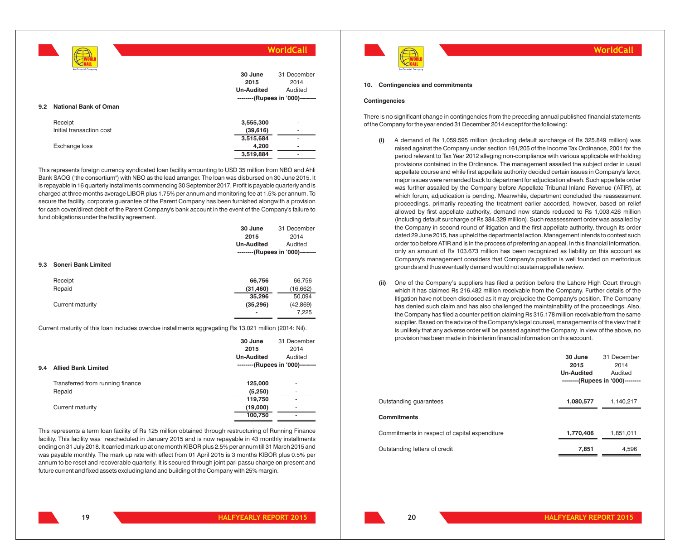|     | An Omantel Company           |                   | WorldCall                        |
|-----|------------------------------|-------------------|----------------------------------|
|     |                              | 30 June           | 31 December                      |
|     |                              | 2015              | 2014                             |
|     |                              | <b>Un-Audited</b> | Audited                          |
|     |                              |                   | --------(Rupees in '000)-------- |
| 9.2 | <b>National Bank of Oman</b> |                   |                                  |
|     | Receipt                      | 3,555,300         | ۰                                |
|     | Initial transaction cost     | (39,616)          | ٠                                |
|     |                              | 3,515,684         | ۰                                |
|     | Exchange loss                | 4,200             | ۰                                |
|     |                              | 3,519,884         | ۰                                |

This represents foreign currency syndicated loan facility amounting to USD 35 million from NBO and Ahli Bank SAOG ("the consortium") with NBO as the lead arranger. The loan was disbursed on 30 June 2015. It is repayable in 16 quarterly installments commencing 30 September 2017. Profit is payable quarterly and is charged at three months average LIBOR plus 1.75% per annum and monitoring fee at 1.5% per annum. To secure the facility, corporate guarantee of the Parent Company has been furnished alongwith a provision for cash cover/direct debit of the Parent Company's bank account in the event of the Company's failure to fund obligations under the facility agreement.

| 9.3 | <b>Soneri Bank Limited</b> | 30 June<br>2015<br><b>Un-Audited</b> | 31 December<br>2014<br>Audited<br>--------(Rupees in '000)-------- |
|-----|----------------------------|--------------------------------------|--------------------------------------------------------------------|
|     |                            |                                      |                                                                    |
|     | Receipt                    | 66,756                               | 66,756                                                             |
|     | Repaid                     | (31, 460)                            | (16, 662)                                                          |
|     |                            | 35,296                               | 50,094                                                             |
|     | Current maturity           | (35, 296)                            | (42, 869)                                                          |
|     |                            |                                      | 7,225                                                              |
|     |                            |                                      |                                                                    |

Current maturity of this loan includes overdue installments aggregating Rs 13.021 million (2014: Nil).

|                                  | 30 June           | 31 December                      |
|----------------------------------|-------------------|----------------------------------|
|                                  | 2015              | 2014                             |
|                                  | <b>Un-Audited</b> | Audited                          |
| <b>Allied Bank Limited</b>       |                   | --------(Rupees in '000)-------- |
| Transferred from running finance | 125,000           | ۰                                |
| Repaid                           | (5,250)           | ۰                                |
|                                  | 119,750           | ۰                                |
| Current maturity                 | (19,000)          | ۰                                |
|                                  | 100,750           | ۰                                |
|                                  |                   |                                  |

This represents a term loan facility of Rs 125 million obtained through restructuring of Running Finance facility. This facility was rescheduled in January 2015 and is now repayable in 43 monthly installments ending on 31 July 2018. It carried mark up at one month KIBOR plus 2.5% per annum till 31 March 2015 and was payable monthly. The mark up rate with effect from 01 April 2015 is 3 months KIBOR plus 0.5% per annum to be reset and recoverable quarterly. It is secured through joint pari passu charge on present and future current and fixed assets excluding land and building of the Company with 25% margin.



**WorldCall**

#### **10. Contingencies and commitments**

#### **Contingencies**

There is no significant change in contingencies from the preceding annual published financial statements of the Company for the year ended 31 December 2014 except for the following:

- **(i)** A demand of Rs 1,059.595 million (including default surcharge of Rs 325.849 million) was raised against the Company under section 161/205 of the Income Tax Ordinance, 2001 for the period relevant to Tax Year 2012 alleging non-compliance with various applicable withholding provisions contained in the Ordinance. The management assailed the subject order in usual appellate course and while first appellate authority decided certain issues in Company's favor, major issues were remanded back to department for adjudication afresh. Such appellate order was further assailed by the Company before Appellate Tribunal Inland Revenue ('ATIR'), at which forum, adjudication is pending. Meanwhile, department concluded the reassessment proceedings, primarily repeating the treatment earlier accorded, however, based on relief allowed by first appellate authority, demand now stands reduced to Rs 1,003.426 million (including default surcharge of Rs 384.329 million). Such reassessment order was assailed by the Company in second round of litigation and the first appellate authority, through its order dated 29 June 2015, has upheld the departmental action. Management intends to contest such order too before ATIR and is in the process of preferring an appeal. In this financial information, only an amount of Rs 103.673 million has been recognized as liability on this account as Company's management considers that Company's position is well founded on meritorious grounds and thus eventually demand would not sustain appellate review.
- **(ii)** One of the Company's suppliers has filed a petition before the Lahore High Court through which it has claimed Rs 216.482 million receivable from the Company. Further details of the litigation have not been disclosed as it may prejudice the Company's position. The Company has denied such claim and has also challenged the maintainability of the proceedings. Also, the Company has filed a counter petition claiming Rs 315.178 million receivable from the same supplier. Based on the advice of the Company's legal counsel, management is of the view that it is unlikely that any adverse order will be passed against the Company. In view of the above, no provision has been made in this interim financial information on this account.

|                                               | 30 June<br>2015<br><b>Un-Audited</b> | 31 December<br>2014<br>Audited<br>--------(Rupees in '000)-------- |
|-----------------------------------------------|--------------------------------------|--------------------------------------------------------------------|
| Outstanding quarantees                        | 1,080,577                            | 1,140,217                                                          |
| <b>Commitments</b>                            |                                      |                                                                    |
| Commitments in respect of capital expenditure | 1,770,406                            | 1,851,011                                                          |
| Outstanding letters of credit                 | 7.851                                | 4.596                                                              |

**19**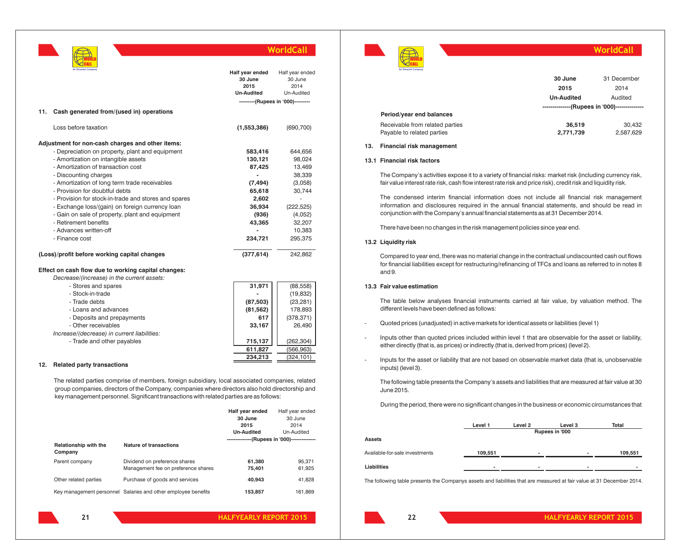

| An Omantel Company<br>11.<br>Cash generated from/(used in) operations                                                                                                                                                                                                                                                                                                                                                                                                                                                           | Half year ended<br>30 June<br>2015<br><b>Un-Audited</b>                                             | Half year ended<br>30 June<br>2014<br>Un-Audited<br>---------(Rupees in '000)---------                                  |
|---------------------------------------------------------------------------------------------------------------------------------------------------------------------------------------------------------------------------------------------------------------------------------------------------------------------------------------------------------------------------------------------------------------------------------------------------------------------------------------------------------------------------------|-----------------------------------------------------------------------------------------------------|-------------------------------------------------------------------------------------------------------------------------|
| Loss before taxation                                                                                                                                                                                                                                                                                                                                                                                                                                                                                                            | (1,553,386)                                                                                         | (690, 700)                                                                                                              |
| Adjustment for non-cash charges and other items:<br>- Depreciation on property, plant and equipment<br>- Amortization on intangible assets<br>- Amortization of transaction cost<br>- Discounting charges<br>- Amortization of long term trade receivables<br>- Provision for doubtful debts<br>- Provision for stock-in-trade and stores and spares<br>- Exchange loss/(gain) on foreign currency loan<br>- Gain on sale of property, plant and equipment<br>- Retirement benefits<br>- Advances written-off<br>- Finance cost | 583,416<br>130,121<br>87,425<br>(7, 494)<br>65,618<br>2,602<br>36,934<br>(936)<br>43,365<br>234.721 | 644,656<br>98,024<br>13,469<br>38,339<br>(3,058)<br>30,744<br>٠<br>(222, 525)<br>(4,052)<br>32,207<br>10,383<br>295,375 |
| (Loss)/profit before working capital changes                                                                                                                                                                                                                                                                                                                                                                                                                                                                                    | (377, 614)                                                                                          | 242,862                                                                                                                 |
| Effect on cash flow due to working capital changes:                                                                                                                                                                                                                                                                                                                                                                                                                                                                             |                                                                                                     |                                                                                                                         |

*Decrease/(increase) in the current assets:*

| - Stores and spares                         | 31,971    | (88, 558)  |
|---------------------------------------------|-----------|------------|
| - Stock-in-trade                            |           | (19, 832)  |
| - Trade debts                               | (87, 503) | (23, 281)  |
| - Loans and advances                        | (81, 562) | 178,893    |
| - Deposits and prepayments                  | 617       | (378, 371) |
| - Other receivables                         | 33,167    | 26.490     |
| Increase/(decrease) in current liabilities: |           |            |
| - Trade and other payables                  | 715,137   | (262, 304) |
|                                             | 611,827   | (566,963)  |
|                                             | 234.213   | (324, 101) |

#### **12. Related party transactions**

The related parties comprise of members, foreign subsidiary, local associated companies, related group companies, directors of the Company, companies where directors also hold directorship and key management personnel. Significant transactions with related parties are as follows:

|                                  |                                                               | Half year ended                              | Half year ended |
|----------------------------------|---------------------------------------------------------------|----------------------------------------------|-----------------|
|                                  |                                                               | 30 June                                      | 30 June         |
|                                  |                                                               | 2015                                         | 2014            |
|                                  |                                                               | <b>Un-Audited</b>                            | Un-Audited      |
|                                  |                                                               | --------------(Rupees in '000)-------------- |                 |
| Relationship with the<br>Company | Nature of transactions                                        |                                              |                 |
| Parent company                   | Dividend on preference shares                                 | 61.380                                       | 95.371          |
|                                  | Management fee on preference shares                           | 75.401                                       | 61,925          |
| Other related parties            | Purchase of goods and services                                | 40.943                                       | 41.828          |
|                                  | Key management personnel Salaries and other employee benefits | 153,857                                      | 161.869         |



|                                                               | 30 June                                         | 31 December         |
|---------------------------------------------------------------|-------------------------------------------------|---------------------|
|                                                               | 2015                                            | 2014                |
|                                                               | <b>Un-Audited</b>                               | Audited             |
|                                                               | --------------- (Rupees in '000)--------------- |                     |
| Period/year end balances                                      |                                                 |                     |
| Receivable from related parties<br>Payable to related parties | 36,519<br>2,771,739                             | 30.432<br>2,587,629 |

**WorldCall**

#### **13. Financial risk management**

#### **13.1 Financial risk factors**

The Company's activities expose it to a variety of financial risks: market risk (including currency risk, fair value interest rate risk, cash flow interest rate risk and price risk), credit risk and liquidity risk.

The condensed interim financial information does not include all financial risk management information and disclosures required in the annual financial statements, and should be read in conjunction with the Company's annual financial statements as at 31 December 2014.

There have been no changes in the risk management policies since year end.

#### **13.2 Liquidity risk**

Compared to year end, there was no material change in the contractual undiscounted cash out flows for financial liabilities except for restructuring/refinancing of TFCs and loans as referred to in notes 8 and 9.

#### **13.3 Fair value estimation**

**22**

The table below analyses financial instruments carried at fair value, by valuation method. The different levels have been defined as follows:

- Quoted prices (unadjusted) in active markets for identical assets or liabilities (level 1)
- Inputs other than quoted prices included within level 1 that are observable for the asset or liability, either directly (that is, as prices) or indirectly (that is, derived from prices) (level 2).
- Inputs for the asset or liability that are not based on observable market data (that is, unobservable inputs) (level 3).

The following table presents the Company's assets and liabilities that are measured at fair value at 30 June 2015.

During the period, there were no significant changes in the business or economic circumstances that

|                                | Level 1 | Level 2        | Level 3 | Total   |  |  |
|--------------------------------|---------|----------------|---------|---------|--|--|
|                                |         | Rupees in '000 |         |         |  |  |
| <b>Assets</b>                  |         |                |         |         |  |  |
| Available-for-sale investments | 109,551 | -              | -       | 109,551 |  |  |
| Liabilities                    |         |                | ۰       |         |  |  |

The following table presents the Companys assets and liabilities that are measured at fair value at 31 December 2014.

**HALFYEARLY REPORT 2015 HALFYEARLY REPORT 2015**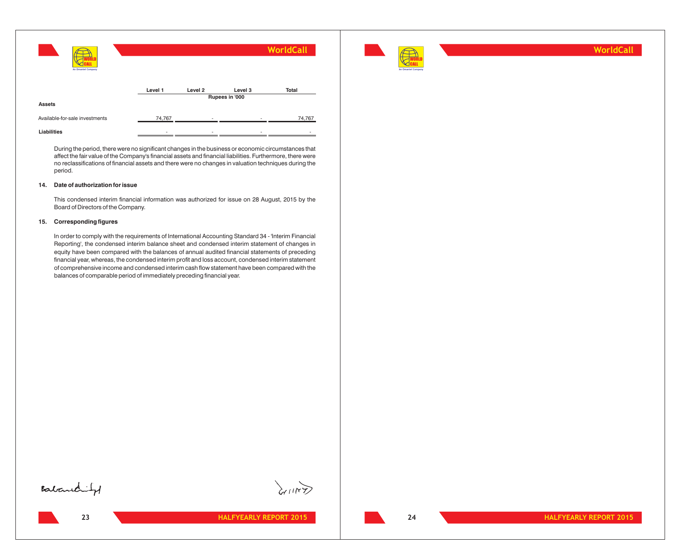| An Omantel Company             |         |                    |                           | WorldCall    |
|--------------------------------|---------|--------------------|---------------------------|--------------|
|                                | Level 1 | Level <sub>2</sub> | Level 3<br>Rupees in '000 | <b>Total</b> |
| <b>Assets</b>                  |         |                    |                           |              |
| Available-for-sale investments | 74,767  |                    |                           | 74,767       |
| Liabilities                    | -       | -                  |                           |              |

During the period, there were no significant changes in the business or economic circumstances that affect the fair value of the Company's financial assets and financial liabilities. Furthermore, there were no reclassifications of financial assets and there were no changes in valuation techniques during the period.

#### **14. Date of authorization for issue**

This condensed interim financial information was authorized for issue on 28 August, 2015 by the Board of Directors of the Company.

#### **15. Corresponding figures**

In order to comply with the requirements of International Accounting Standard 34 - 'Interim Financial Reporting', the condensed interim balance sheet and condensed interim statement of changes in equity have been compared with the balances of annual audited financial statements of preceding financial year, whereas, the condensed interim profit and loss account, condensed interim statement of comprehensive income and condensed interim cash flow statement have been compared with the balances of comparable period of immediately preceding financial year.



**WorldCall**





**HALFYEARLY REPORT 2015 HALFYEARLY REPORT 2015**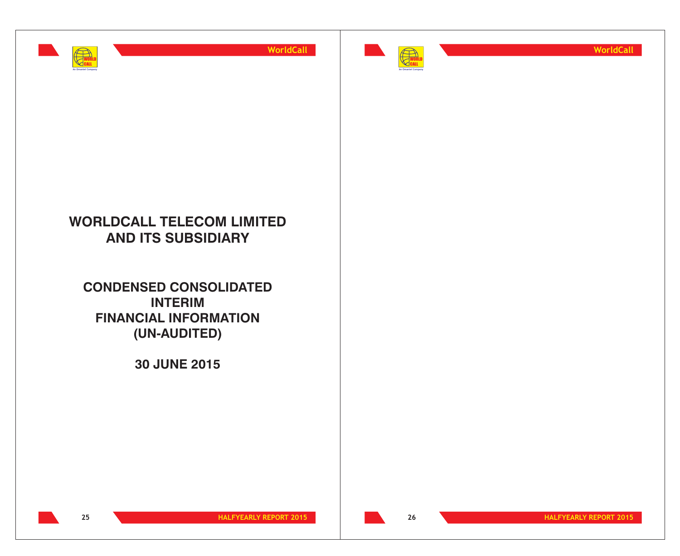



**WorldCall**

## **WORLDCALL TELECOM LIMITED AND ITS SUBSIDIARY**

**CONSOLIDATED CONDENSED INTERIM FINANCIAL INFORMATION (UN-AUDITED)**

**30 JUNE 2015**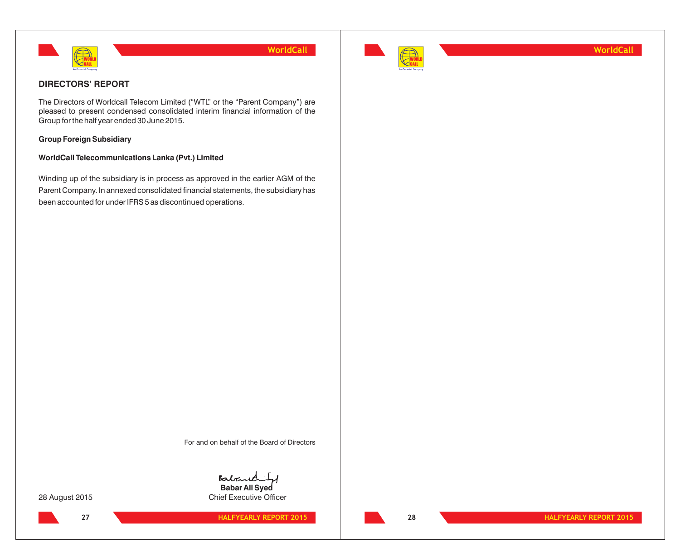



**WorldCall**

## **DIRECTORS' REPORT**

The Directors of Worldcall Telecom Limited ("WTL" or the "Parent Company") are pleased to present condensed consolidated interim financial information of the Group for the half year ended 30 June 2015.

## **Group Foreign Subsidiary**

#### **WorldCall Telecommunications Lanka (Pvt.) Limited**

Winding up of the subsidiary is in process as approved in the earlier AGM of the Parent Company. In annexed consolidated financial statements, the subsidiary has been accounted for under IFRS 5 as discontinued operations.

For and on behalf of the Board of Directors

Baba **Babar Ali Syed**

28 August 2015 **Chief Executive Officer** 

**27 HALFYEARLY REPORT 2015 28 HALFYEARLY REPORT 2015**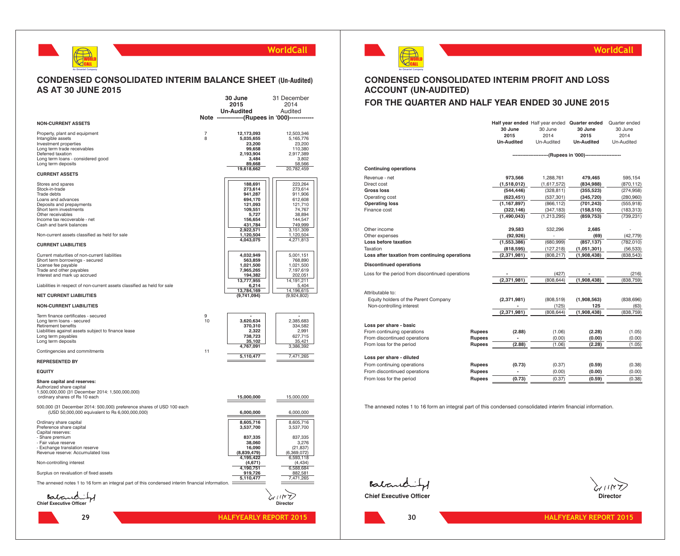

#### **CONDENSED CONSOLIDATED INTERIM BALANCE SHEET (Un-Audited) AS AT 30 JUNE 2015 30 June** 31 December

| Note -------------(Rupees in '000)-----<br><b>NON-CURRENT ASSETS</b><br>Property, plant and equipment<br>12,173,093<br>12,503,346<br>7<br>Intangible assets<br>8<br>5,035,655<br>5,165,776<br>Investment properties<br>23,200<br>23,200<br>Long term trade receivables<br>99,658<br>110,380<br>Deferred taxation<br>2,193,904<br>2,917,389<br>Long term loans - considered good<br>3,484<br>3,802<br>Long term deposits<br>89,668<br>58,566<br>20,782,459<br>19,618,662<br><b>CURRENT ASSETS</b><br>223,264<br>Stores and spares<br>188,691<br>Stock-in-trade<br>273,614<br>273,614<br>Trade debts<br>941,287<br>911,906<br>Loans and advances<br>694,170<br>612,608<br>Deposits and prepayments<br>121,093<br>121,710<br>74,767<br>Short term investments<br>109,551<br>Other receivables<br>5,727<br>38,894<br>Income tax recoverable - net<br>156,654<br>144,547<br>Cash and bank balances<br>431,784<br>749,999<br>2,922,571<br>3,151,309<br>Non-current assets classified as held for sale<br>1,120,504<br>1,120,504<br>4,043,075<br>4,271,813<br><b>CURRENT LIABILITIES</b><br>Current maturities of non-current liabilities<br>4,032,949<br>5,001,151<br>Short term borrowings - secured<br>563,859<br>768,890<br>1,021,500<br>License fee payable<br>1,021,500<br>7,965,265<br>7,197,619<br>Trade and other payables<br>Interest and mark up accrued<br>194,382<br>202,051<br>13,777,955<br>14,191,211<br>6,214<br>5,404<br>Liabilities in respect of non-current assets classified as held for sale<br>13,784,169<br>14,196,615<br><b>NET CURRENT LIABILITIES</b><br>(9,741,094)<br>(9,924,802)<br><b>NON-CURRENT LIABILITIES</b><br>Term finance certificates - secured<br>9<br>10<br>2,385,683<br>Long term loans - secured<br>3,620,634<br>Retirement benefits<br>370,310<br>334,582<br>Liabilities against assets subject to finance lease<br>2,322<br>2,991<br>738,723<br>627,715<br>Long term payables<br>35,102<br>35,421<br>Long term deposits<br>4,767,091<br>3,386,392<br>Contingencies and commitments<br>11<br>5,110,477<br>7,471,265<br><b>REPRESENTED BY</b><br><b>EQUITY</b><br>Share capital and reserves:<br>Authorized share capital<br>1,500,000,000 (31 December 2014: 1,500,000,000)<br>15,000,000<br>15,000,000<br>ordinary shares of Rs 10 each<br>500,000 (31 December 2014: 500,000) preference shares of USD 100 each<br>(USD 50,000,000 equivalent to Rs 6,000,000,000)<br>6,000,000<br>6,000,000<br>Ordinary share capital<br>8,605,716<br>8,605,716<br>Preference share capital<br>3,537,700<br>3,537,700<br>Capital reserves:<br>837,335<br>- Share premium<br>837,335<br>- Fair value reserve<br>38,060<br>3,276<br>- Exchange translation reserve<br>16,090<br>(21, 837)<br>Revenue reserve: Accumulated loss<br>(8,839,479)<br>(6,369,072)<br>4,195,422<br>6,593,118<br>Non-controlling interest<br>(4,671)<br>(4, 434)<br>4,190,751<br>6,588,684<br>919,726<br>Surplus on revaluation of fixed assets<br>882,581<br>5,110,477<br>7,471,265<br>The annexed notes 1 to 16 form an integral part of this condensed interim financial information.<br>Babardary<br><b>Director</b><br><b>HALFYEARLY REPORT 2015</b><br>29 |  | 2015              | 2014    |
|------------------------------------------------------------------------------------------------------------------------------------------------------------------------------------------------------------------------------------------------------------------------------------------------------------------------------------------------------------------------------------------------------------------------------------------------------------------------------------------------------------------------------------------------------------------------------------------------------------------------------------------------------------------------------------------------------------------------------------------------------------------------------------------------------------------------------------------------------------------------------------------------------------------------------------------------------------------------------------------------------------------------------------------------------------------------------------------------------------------------------------------------------------------------------------------------------------------------------------------------------------------------------------------------------------------------------------------------------------------------------------------------------------------------------------------------------------------------------------------------------------------------------------------------------------------------------------------------------------------------------------------------------------------------------------------------------------------------------------------------------------------------------------------------------------------------------------------------------------------------------------------------------------------------------------------------------------------------------------------------------------------------------------------------------------------------------------------------------------------------------------------------------------------------------------------------------------------------------------------------------------------------------------------------------------------------------------------------------------------------------------------------------------------------------------------------------------------------------------------------------------------------------------------------------------------------------------------------------------------------------------------------------------------------------------------------------------------------------------------------------------------------------------------------------------------------------------------------------------------------------------------------------------------------------------------------------------------------------------------------------------------------------------------------------------------------------------------------------------------------------------------------------------------|--|-------------------|---------|
|                                                                                                                                                                                                                                                                                                                                                                                                                                                                                                                                                                                                                                                                                                                                                                                                                                                                                                                                                                                                                                                                                                                                                                                                                                                                                                                                                                                                                                                                                                                                                                                                                                                                                                                                                                                                                                                                                                                                                                                                                                                                                                                                                                                                                                                                                                                                                                                                                                                                                                                                                                                                                                                                                                                                                                                                                                                                                                                                                                                                                                                                                                                                                                  |  | <b>Un-Audited</b> | Audited |
|                                                                                                                                                                                                                                                                                                                                                                                                                                                                                                                                                                                                                                                                                                                                                                                                                                                                                                                                                                                                                                                                                                                                                                                                                                                                                                                                                                                                                                                                                                                                                                                                                                                                                                                                                                                                                                                                                                                                                                                                                                                                                                                                                                                                                                                                                                                                                                                                                                                                                                                                                                                                                                                                                                                                                                                                                                                                                                                                                                                                                                                                                                                                                                  |  |                   |         |
|                                                                                                                                                                                                                                                                                                                                                                                                                                                                                                                                                                                                                                                                                                                                                                                                                                                                                                                                                                                                                                                                                                                                                                                                                                                                                                                                                                                                                                                                                                                                                                                                                                                                                                                                                                                                                                                                                                                                                                                                                                                                                                                                                                                                                                                                                                                                                                                                                                                                                                                                                                                                                                                                                                                                                                                                                                                                                                                                                                                                                                                                                                                                                                  |  |                   |         |
|                                                                                                                                                                                                                                                                                                                                                                                                                                                                                                                                                                                                                                                                                                                                                                                                                                                                                                                                                                                                                                                                                                                                                                                                                                                                                                                                                                                                                                                                                                                                                                                                                                                                                                                                                                                                                                                                                                                                                                                                                                                                                                                                                                                                                                                                                                                                                                                                                                                                                                                                                                                                                                                                                                                                                                                                                                                                                                                                                                                                                                                                                                                                                                  |  |                   |         |
|                                                                                                                                                                                                                                                                                                                                                                                                                                                                                                                                                                                                                                                                                                                                                                                                                                                                                                                                                                                                                                                                                                                                                                                                                                                                                                                                                                                                                                                                                                                                                                                                                                                                                                                                                                                                                                                                                                                                                                                                                                                                                                                                                                                                                                                                                                                                                                                                                                                                                                                                                                                                                                                                                                                                                                                                                                                                                                                                                                                                                                                                                                                                                                  |  |                   |         |
|                                                                                                                                                                                                                                                                                                                                                                                                                                                                                                                                                                                                                                                                                                                                                                                                                                                                                                                                                                                                                                                                                                                                                                                                                                                                                                                                                                                                                                                                                                                                                                                                                                                                                                                                                                                                                                                                                                                                                                                                                                                                                                                                                                                                                                                                                                                                                                                                                                                                                                                                                                                                                                                                                                                                                                                                                                                                                                                                                                                                                                                                                                                                                                  |  |                   |         |
|                                                                                                                                                                                                                                                                                                                                                                                                                                                                                                                                                                                                                                                                                                                                                                                                                                                                                                                                                                                                                                                                                                                                                                                                                                                                                                                                                                                                                                                                                                                                                                                                                                                                                                                                                                                                                                                                                                                                                                                                                                                                                                                                                                                                                                                                                                                                                                                                                                                                                                                                                                                                                                                                                                                                                                                                                                                                                                                                                                                                                                                                                                                                                                  |  |                   |         |
|                                                                                                                                                                                                                                                                                                                                                                                                                                                                                                                                                                                                                                                                                                                                                                                                                                                                                                                                                                                                                                                                                                                                                                                                                                                                                                                                                                                                                                                                                                                                                                                                                                                                                                                                                                                                                                                                                                                                                                                                                                                                                                                                                                                                                                                                                                                                                                                                                                                                                                                                                                                                                                                                                                                                                                                                                                                                                                                                                                                                                                                                                                                                                                  |  |                   |         |
|                                                                                                                                                                                                                                                                                                                                                                                                                                                                                                                                                                                                                                                                                                                                                                                                                                                                                                                                                                                                                                                                                                                                                                                                                                                                                                                                                                                                                                                                                                                                                                                                                                                                                                                                                                                                                                                                                                                                                                                                                                                                                                                                                                                                                                                                                                                                                                                                                                                                                                                                                                                                                                                                                                                                                                                                                                                                                                                                                                                                                                                                                                                                                                  |  |                   |         |
|                                                                                                                                                                                                                                                                                                                                                                                                                                                                                                                                                                                                                                                                                                                                                                                                                                                                                                                                                                                                                                                                                                                                                                                                                                                                                                                                                                                                                                                                                                                                                                                                                                                                                                                                                                                                                                                                                                                                                                                                                                                                                                                                                                                                                                                                                                                                                                                                                                                                                                                                                                                                                                                                                                                                                                                                                                                                                                                                                                                                                                                                                                                                                                  |  |                   |         |
|                                                                                                                                                                                                                                                                                                                                                                                                                                                                                                                                                                                                                                                                                                                                                                                                                                                                                                                                                                                                                                                                                                                                                                                                                                                                                                                                                                                                                                                                                                                                                                                                                                                                                                                                                                                                                                                                                                                                                                                                                                                                                                                                                                                                                                                                                                                                                                                                                                                                                                                                                                                                                                                                                                                                                                                                                                                                                                                                                                                                                                                                                                                                                                  |  |                   |         |
|                                                                                                                                                                                                                                                                                                                                                                                                                                                                                                                                                                                                                                                                                                                                                                                                                                                                                                                                                                                                                                                                                                                                                                                                                                                                                                                                                                                                                                                                                                                                                                                                                                                                                                                                                                                                                                                                                                                                                                                                                                                                                                                                                                                                                                                                                                                                                                                                                                                                                                                                                                                                                                                                                                                                                                                                                                                                                                                                                                                                                                                                                                                                                                  |  |                   |         |
|                                                                                                                                                                                                                                                                                                                                                                                                                                                                                                                                                                                                                                                                                                                                                                                                                                                                                                                                                                                                                                                                                                                                                                                                                                                                                                                                                                                                                                                                                                                                                                                                                                                                                                                                                                                                                                                                                                                                                                                                                                                                                                                                                                                                                                                                                                                                                                                                                                                                                                                                                                                                                                                                                                                                                                                                                                                                                                                                                                                                                                                                                                                                                                  |  |                   |         |
|                                                                                                                                                                                                                                                                                                                                                                                                                                                                                                                                                                                                                                                                                                                                                                                                                                                                                                                                                                                                                                                                                                                                                                                                                                                                                                                                                                                                                                                                                                                                                                                                                                                                                                                                                                                                                                                                                                                                                                                                                                                                                                                                                                                                                                                                                                                                                                                                                                                                                                                                                                                                                                                                                                                                                                                                                                                                                                                                                                                                                                                                                                                                                                  |  |                   |         |
|                                                                                                                                                                                                                                                                                                                                                                                                                                                                                                                                                                                                                                                                                                                                                                                                                                                                                                                                                                                                                                                                                                                                                                                                                                                                                                                                                                                                                                                                                                                                                                                                                                                                                                                                                                                                                                                                                                                                                                                                                                                                                                                                                                                                                                                                                                                                                                                                                                                                                                                                                                                                                                                                                                                                                                                                                                                                                                                                                                                                                                                                                                                                                                  |  |                   |         |
|                                                                                                                                                                                                                                                                                                                                                                                                                                                                                                                                                                                                                                                                                                                                                                                                                                                                                                                                                                                                                                                                                                                                                                                                                                                                                                                                                                                                                                                                                                                                                                                                                                                                                                                                                                                                                                                                                                                                                                                                                                                                                                                                                                                                                                                                                                                                                                                                                                                                                                                                                                                                                                                                                                                                                                                                                                                                                                                                                                                                                                                                                                                                                                  |  |                   |         |
|                                                                                                                                                                                                                                                                                                                                                                                                                                                                                                                                                                                                                                                                                                                                                                                                                                                                                                                                                                                                                                                                                                                                                                                                                                                                                                                                                                                                                                                                                                                                                                                                                                                                                                                                                                                                                                                                                                                                                                                                                                                                                                                                                                                                                                                                                                                                                                                                                                                                                                                                                                                                                                                                                                                                                                                                                                                                                                                                                                                                                                                                                                                                                                  |  |                   |         |
|                                                                                                                                                                                                                                                                                                                                                                                                                                                                                                                                                                                                                                                                                                                                                                                                                                                                                                                                                                                                                                                                                                                                                                                                                                                                                                                                                                                                                                                                                                                                                                                                                                                                                                                                                                                                                                                                                                                                                                                                                                                                                                                                                                                                                                                                                                                                                                                                                                                                                                                                                                                                                                                                                                                                                                                                                                                                                                                                                                                                                                                                                                                                                                  |  |                   |         |
|                                                                                                                                                                                                                                                                                                                                                                                                                                                                                                                                                                                                                                                                                                                                                                                                                                                                                                                                                                                                                                                                                                                                                                                                                                                                                                                                                                                                                                                                                                                                                                                                                                                                                                                                                                                                                                                                                                                                                                                                                                                                                                                                                                                                                                                                                                                                                                                                                                                                                                                                                                                                                                                                                                                                                                                                                                                                                                                                                                                                                                                                                                                                                                  |  |                   |         |
|                                                                                                                                                                                                                                                                                                                                                                                                                                                                                                                                                                                                                                                                                                                                                                                                                                                                                                                                                                                                                                                                                                                                                                                                                                                                                                                                                                                                                                                                                                                                                                                                                                                                                                                                                                                                                                                                                                                                                                                                                                                                                                                                                                                                                                                                                                                                                                                                                                                                                                                                                                                                                                                                                                                                                                                                                                                                                                                                                                                                                                                                                                                                                                  |  |                   |         |
|                                                                                                                                                                                                                                                                                                                                                                                                                                                                                                                                                                                                                                                                                                                                                                                                                                                                                                                                                                                                                                                                                                                                                                                                                                                                                                                                                                                                                                                                                                                                                                                                                                                                                                                                                                                                                                                                                                                                                                                                                                                                                                                                                                                                                                                                                                                                                                                                                                                                                                                                                                                                                                                                                                                                                                                                                                                                                                                                                                                                                                                                                                                                                                  |  |                   |         |
|                                                                                                                                                                                                                                                                                                                                                                                                                                                                                                                                                                                                                                                                                                                                                                                                                                                                                                                                                                                                                                                                                                                                                                                                                                                                                                                                                                                                                                                                                                                                                                                                                                                                                                                                                                                                                                                                                                                                                                                                                                                                                                                                                                                                                                                                                                                                                                                                                                                                                                                                                                                                                                                                                                                                                                                                                                                                                                                                                                                                                                                                                                                                                                  |  |                   |         |
|                                                                                                                                                                                                                                                                                                                                                                                                                                                                                                                                                                                                                                                                                                                                                                                                                                                                                                                                                                                                                                                                                                                                                                                                                                                                                                                                                                                                                                                                                                                                                                                                                                                                                                                                                                                                                                                                                                                                                                                                                                                                                                                                                                                                                                                                                                                                                                                                                                                                                                                                                                                                                                                                                                                                                                                                                                                                                                                                                                                                                                                                                                                                                                  |  |                   |         |
|                                                                                                                                                                                                                                                                                                                                                                                                                                                                                                                                                                                                                                                                                                                                                                                                                                                                                                                                                                                                                                                                                                                                                                                                                                                                                                                                                                                                                                                                                                                                                                                                                                                                                                                                                                                                                                                                                                                                                                                                                                                                                                                                                                                                                                                                                                                                                                                                                                                                                                                                                                                                                                                                                                                                                                                                                                                                                                                                                                                                                                                                                                                                                                  |  |                   |         |
|                                                                                                                                                                                                                                                                                                                                                                                                                                                                                                                                                                                                                                                                                                                                                                                                                                                                                                                                                                                                                                                                                                                                                                                                                                                                                                                                                                                                                                                                                                                                                                                                                                                                                                                                                                                                                                                                                                                                                                                                                                                                                                                                                                                                                                                                                                                                                                                                                                                                                                                                                                                                                                                                                                                                                                                                                                                                                                                                                                                                                                                                                                                                                                  |  |                   |         |
|                                                                                                                                                                                                                                                                                                                                                                                                                                                                                                                                                                                                                                                                                                                                                                                                                                                                                                                                                                                                                                                                                                                                                                                                                                                                                                                                                                                                                                                                                                                                                                                                                                                                                                                                                                                                                                                                                                                                                                                                                                                                                                                                                                                                                                                                                                                                                                                                                                                                                                                                                                                                                                                                                                                                                                                                                                                                                                                                                                                                                                                                                                                                                                  |  |                   |         |
|                                                                                                                                                                                                                                                                                                                                                                                                                                                                                                                                                                                                                                                                                                                                                                                                                                                                                                                                                                                                                                                                                                                                                                                                                                                                                                                                                                                                                                                                                                                                                                                                                                                                                                                                                                                                                                                                                                                                                                                                                                                                                                                                                                                                                                                                                                                                                                                                                                                                                                                                                                                                                                                                                                                                                                                                                                                                                                                                                                                                                                                                                                                                                                  |  |                   |         |
|                                                                                                                                                                                                                                                                                                                                                                                                                                                                                                                                                                                                                                                                                                                                                                                                                                                                                                                                                                                                                                                                                                                                                                                                                                                                                                                                                                                                                                                                                                                                                                                                                                                                                                                                                                                                                                                                                                                                                                                                                                                                                                                                                                                                                                                                                                                                                                                                                                                                                                                                                                                                                                                                                                                                                                                                                                                                                                                                                                                                                                                                                                                                                                  |  |                   |         |
|                                                                                                                                                                                                                                                                                                                                                                                                                                                                                                                                                                                                                                                                                                                                                                                                                                                                                                                                                                                                                                                                                                                                                                                                                                                                                                                                                                                                                                                                                                                                                                                                                                                                                                                                                                                                                                                                                                                                                                                                                                                                                                                                                                                                                                                                                                                                                                                                                                                                                                                                                                                                                                                                                                                                                                                                                                                                                                                                                                                                                                                                                                                                                                  |  |                   |         |
|                                                                                                                                                                                                                                                                                                                                                                                                                                                                                                                                                                                                                                                                                                                                                                                                                                                                                                                                                                                                                                                                                                                                                                                                                                                                                                                                                                                                                                                                                                                                                                                                                                                                                                                                                                                                                                                                                                                                                                                                                                                                                                                                                                                                                                                                                                                                                                                                                                                                                                                                                                                                                                                                                                                                                                                                                                                                                                                                                                                                                                                                                                                                                                  |  |                   |         |
|                                                                                                                                                                                                                                                                                                                                                                                                                                                                                                                                                                                                                                                                                                                                                                                                                                                                                                                                                                                                                                                                                                                                                                                                                                                                                                                                                                                                                                                                                                                                                                                                                                                                                                                                                                                                                                                                                                                                                                                                                                                                                                                                                                                                                                                                                                                                                                                                                                                                                                                                                                                                                                                                                                                                                                                                                                                                                                                                                                                                                                                                                                                                                                  |  |                   |         |
|                                                                                                                                                                                                                                                                                                                                                                                                                                                                                                                                                                                                                                                                                                                                                                                                                                                                                                                                                                                                                                                                                                                                                                                                                                                                                                                                                                                                                                                                                                                                                                                                                                                                                                                                                                                                                                                                                                                                                                                                                                                                                                                                                                                                                                                                                                                                                                                                                                                                                                                                                                                                                                                                                                                                                                                                                                                                                                                                                                                                                                                                                                                                                                  |  |                   |         |
|                                                                                                                                                                                                                                                                                                                                                                                                                                                                                                                                                                                                                                                                                                                                                                                                                                                                                                                                                                                                                                                                                                                                                                                                                                                                                                                                                                                                                                                                                                                                                                                                                                                                                                                                                                                                                                                                                                                                                                                                                                                                                                                                                                                                                                                                                                                                                                                                                                                                                                                                                                                                                                                                                                                                                                                                                                                                                                                                                                                                                                                                                                                                                                  |  |                   |         |
|                                                                                                                                                                                                                                                                                                                                                                                                                                                                                                                                                                                                                                                                                                                                                                                                                                                                                                                                                                                                                                                                                                                                                                                                                                                                                                                                                                                                                                                                                                                                                                                                                                                                                                                                                                                                                                                                                                                                                                                                                                                                                                                                                                                                                                                                                                                                                                                                                                                                                                                                                                                                                                                                                                                                                                                                                                                                                                                                                                                                                                                                                                                                                                  |  |                   |         |
|                                                                                                                                                                                                                                                                                                                                                                                                                                                                                                                                                                                                                                                                                                                                                                                                                                                                                                                                                                                                                                                                                                                                                                                                                                                                                                                                                                                                                                                                                                                                                                                                                                                                                                                                                                                                                                                                                                                                                                                                                                                                                                                                                                                                                                                                                                                                                                                                                                                                                                                                                                                                                                                                                                                                                                                                                                                                                                                                                                                                                                                                                                                                                                  |  |                   |         |
|                                                                                                                                                                                                                                                                                                                                                                                                                                                                                                                                                                                                                                                                                                                                                                                                                                                                                                                                                                                                                                                                                                                                                                                                                                                                                                                                                                                                                                                                                                                                                                                                                                                                                                                                                                                                                                                                                                                                                                                                                                                                                                                                                                                                                                                                                                                                                                                                                                                                                                                                                                                                                                                                                                                                                                                                                                                                                                                                                                                                                                                                                                                                                                  |  |                   |         |
|                                                                                                                                                                                                                                                                                                                                                                                                                                                                                                                                                                                                                                                                                                                                                                                                                                                                                                                                                                                                                                                                                                                                                                                                                                                                                                                                                                                                                                                                                                                                                                                                                                                                                                                                                                                                                                                                                                                                                                                                                                                                                                                                                                                                                                                                                                                                                                                                                                                                                                                                                                                                                                                                                                                                                                                                                                                                                                                                                                                                                                                                                                                                                                  |  |                   |         |
|                                                                                                                                                                                                                                                                                                                                                                                                                                                                                                                                                                                                                                                                                                                                                                                                                                                                                                                                                                                                                                                                                                                                                                                                                                                                                                                                                                                                                                                                                                                                                                                                                                                                                                                                                                                                                                                                                                                                                                                                                                                                                                                                                                                                                                                                                                                                                                                                                                                                                                                                                                                                                                                                                                                                                                                                                                                                                                                                                                                                                                                                                                                                                                  |  |                   |         |
|                                                                                                                                                                                                                                                                                                                                                                                                                                                                                                                                                                                                                                                                                                                                                                                                                                                                                                                                                                                                                                                                                                                                                                                                                                                                                                                                                                                                                                                                                                                                                                                                                                                                                                                                                                                                                                                                                                                                                                                                                                                                                                                                                                                                                                                                                                                                                                                                                                                                                                                                                                                                                                                                                                                                                                                                                                                                                                                                                                                                                                                                                                                                                                  |  |                   |         |
|                                                                                                                                                                                                                                                                                                                                                                                                                                                                                                                                                                                                                                                                                                                                                                                                                                                                                                                                                                                                                                                                                                                                                                                                                                                                                                                                                                                                                                                                                                                                                                                                                                                                                                                                                                                                                                                                                                                                                                                                                                                                                                                                                                                                                                                                                                                                                                                                                                                                                                                                                                                                                                                                                                                                                                                                                                                                                                                                                                                                                                                                                                                                                                  |  |                   |         |
|                                                                                                                                                                                                                                                                                                                                                                                                                                                                                                                                                                                                                                                                                                                                                                                                                                                                                                                                                                                                                                                                                                                                                                                                                                                                                                                                                                                                                                                                                                                                                                                                                                                                                                                                                                                                                                                                                                                                                                                                                                                                                                                                                                                                                                                                                                                                                                                                                                                                                                                                                                                                                                                                                                                                                                                                                                                                                                                                                                                                                                                                                                                                                                  |  |                   |         |
|                                                                                                                                                                                                                                                                                                                                                                                                                                                                                                                                                                                                                                                                                                                                                                                                                                                                                                                                                                                                                                                                                                                                                                                                                                                                                                                                                                                                                                                                                                                                                                                                                                                                                                                                                                                                                                                                                                                                                                                                                                                                                                                                                                                                                                                                                                                                                                                                                                                                                                                                                                                                                                                                                                                                                                                                                                                                                                                                                                                                                                                                                                                                                                  |  |                   |         |
|                                                                                                                                                                                                                                                                                                                                                                                                                                                                                                                                                                                                                                                                                                                                                                                                                                                                                                                                                                                                                                                                                                                                                                                                                                                                                                                                                                                                                                                                                                                                                                                                                                                                                                                                                                                                                                                                                                                                                                                                                                                                                                                                                                                                                                                                                                                                                                                                                                                                                                                                                                                                                                                                                                                                                                                                                                                                                                                                                                                                                                                                                                                                                                  |  |                   |         |
|                                                                                                                                                                                                                                                                                                                                                                                                                                                                                                                                                                                                                                                                                                                                                                                                                                                                                                                                                                                                                                                                                                                                                                                                                                                                                                                                                                                                                                                                                                                                                                                                                                                                                                                                                                                                                                                                                                                                                                                                                                                                                                                                                                                                                                                                                                                                                                                                                                                                                                                                                                                                                                                                                                                                                                                                                                                                                                                                                                                                                                                                                                                                                                  |  |                   |         |
|                                                                                                                                                                                                                                                                                                                                                                                                                                                                                                                                                                                                                                                                                                                                                                                                                                                                                                                                                                                                                                                                                                                                                                                                                                                                                                                                                                                                                                                                                                                                                                                                                                                                                                                                                                                                                                                                                                                                                                                                                                                                                                                                                                                                                                                                                                                                                                                                                                                                                                                                                                                                                                                                                                                                                                                                                                                                                                                                                                                                                                                                                                                                                                  |  |                   |         |
|                                                                                                                                                                                                                                                                                                                                                                                                                                                                                                                                                                                                                                                                                                                                                                                                                                                                                                                                                                                                                                                                                                                                                                                                                                                                                                                                                                                                                                                                                                                                                                                                                                                                                                                                                                                                                                                                                                                                                                                                                                                                                                                                                                                                                                                                                                                                                                                                                                                                                                                                                                                                                                                                                                                                                                                                                                                                                                                                                                                                                                                                                                                                                                  |  |                   |         |
|                                                                                                                                                                                                                                                                                                                                                                                                                                                                                                                                                                                                                                                                                                                                                                                                                                                                                                                                                                                                                                                                                                                                                                                                                                                                                                                                                                                                                                                                                                                                                                                                                                                                                                                                                                                                                                                                                                                                                                                                                                                                                                                                                                                                                                                                                                                                                                                                                                                                                                                                                                                                                                                                                                                                                                                                                                                                                                                                                                                                                                                                                                                                                                  |  |                   |         |
|                                                                                                                                                                                                                                                                                                                                                                                                                                                                                                                                                                                                                                                                                                                                                                                                                                                                                                                                                                                                                                                                                                                                                                                                                                                                                                                                                                                                                                                                                                                                                                                                                                                                                                                                                                                                                                                                                                                                                                                                                                                                                                                                                                                                                                                                                                                                                                                                                                                                                                                                                                                                                                                                                                                                                                                                                                                                                                                                                                                                                                                                                                                                                                  |  |                   |         |



## **CONDENSED CONSOLIDATED INTERIM PROFIT AND LOSS ACCOUNT (UN-AUDITED)**

## **FOR THE QUARTER AND HALF YEAR ENDED 30 JUNE 2015**

|                                                  |               | Half year ended Half year ended Quarter ended |             |                        | Quarter ended |
|--------------------------------------------------|---------------|-----------------------------------------------|-------------|------------------------|---------------|
|                                                  |               | 30 June                                       | 30 June     | 30 June                | 30 June       |
|                                                  |               | 2015                                          | 2014        | 2015                   | 2014          |
|                                                  |               | <b>Un-Audited</b>                             | Un-Audited  | <b>Un-Audited</b>      | Un-Audited    |
|                                                  |               |                                               |             | --(Rupees in '000)---- |               |
| <b>Continuing operations</b>                     |               |                                               |             |                        |               |
| Revenue - net                                    |               | 973,566                                       | 1,288,761   | 479,465                | 595,154       |
| Direct cost                                      |               | (1,518,012)                                   | (1,617,572) | (834, 988)             | (870, 112)    |
| Gross loss                                       |               | (544, 446)                                    | (328, 811)  | (355, 523)             | (274, 958)    |
| Operating cost                                   |               | (623, 451)                                    | (537, 301)  | (345, 720)             | (280, 960)    |
| <b>Operating loss</b>                            |               | (1, 167, 897)                                 | (866, 112)  | (701, 243)             | (555, 918)    |
| Finance cost                                     |               | (322, 146)                                    | (347, 183)  | (158, 510)             | (183, 313)    |
|                                                  |               | (1,490,043)                                   | (1,213,295) | (859, 753)             | (739, 231)    |
| Other income                                     |               | 29,583                                        | 532,296     | 2,685                  |               |
| Other expenses                                   |               | (92, 926)                                     | ×           | (69)                   | (42, 779)     |
| Loss before taxation                             |               | (1,553,386)                                   | (680, 999)  | (857, 137)             | (782, 010)    |
| Taxation                                         |               | (818, 595)                                    | (127, 218)  | (1,051,301)            | (56, 533)     |
| Loss after taxation from continuing operations   |               | (2,371,981)                                   | (808, 217)  | (1,908,438)            | (838, 543)    |
| <b>Discontinued operations</b>                   |               |                                               |             |                        |               |
| Loss for the period from discontinued operations |               |                                               | (427)       |                        | (216)         |
|                                                  |               | (2,371,981)                                   | (808, 644)  | (1,908,438)            | (838, 759)    |
| Attributable to:                                 |               |                                               |             |                        |               |
| Equity holders of the Parent Company             |               | (2,371,981)                                   | (808, 519)  | (1,908,563)            | (838, 696)    |
| Non-controlling interest                         |               |                                               | (125)       | 125                    | (63)          |
|                                                  |               | (2,371,981)                                   | (808, 644)  | (1,908,438)            | (838, 759)    |
| Loss per share - basic                           |               |                                               |             |                        |               |
| From continuing operations                       | <b>Rupees</b> | (2.88)                                        | (1.06)      | (2.28)                 | (1.05)        |
| From discontinued operations                     | <b>Rupees</b> |                                               | (0.00)      | (0.00)                 | (0.00)        |
| From loss for the period                         | <b>Rupees</b> | (2.88)                                        | (1.06)      | (2.28)                 | (1.05)        |
| Loss per share - diluted                         |               |                                               |             |                        |               |
| From continuing operations                       | <b>Rupees</b> | (0.73)                                        | (0.37)      | (0.59)                 | (0.38)        |
| From discontinued operations                     | <b>Rupees</b> |                                               | (0.00)      | (0.00)                 | (0.00)        |
| From loss for the period                         | <b>Rupees</b> | (0.73)                                        | (0.37)      | (0.59)                 | (0.38)        |
|                                                  |               |                                               |             |                        |               |

The annexed notes 1 to 16 form an integral part of this condensed consolidated interim financial information.

Balanchity **Chief Executive Officer Chief Executive Officer Chief Executive Officer Chief Executive Officer Chief Chief Chief Chief Chief Chief Chief Chief Chief Chief Chief Chief Chief Chief Chief Chief Chief Chief Chief Chief Chief** 

**HALFYEARLY REPORT 2015 HALFYEARLY REPORT 2015**

**WorldCall**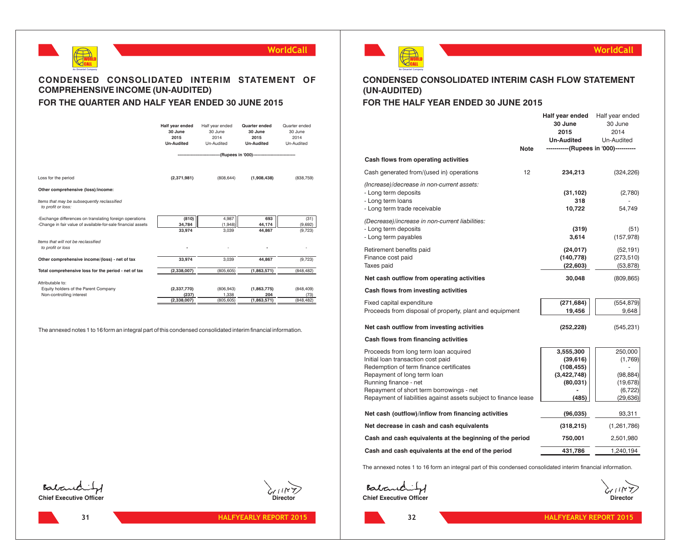



## **CONDENSED CONSOLIDATED INTERIM STATEMENT OF COMPREHENSIVE INCOME (UN-AUDITED) FOR THE QUARTER AND HALF YEAR ENDED 30 JUNE 2015**

|                                                                                                                         | Half vear ended<br>30 June<br>2015<br><b>Un-Audited</b> | Half year ended<br>30 June<br>2014<br>Un-Audited             | Quarter ended<br>30 June<br>2015<br><b>Un-Audited</b> | Quarter ended<br>30 June<br>2014<br>Un-Audited |
|-------------------------------------------------------------------------------------------------------------------------|---------------------------------------------------------|--------------------------------------------------------------|-------------------------------------------------------|------------------------------------------------|
|                                                                                                                         |                                                         | ----------------(Rupees in '000)---------------------------- |                                                       |                                                |
|                                                                                                                         |                                                         |                                                              |                                                       |                                                |
| Loss for the period                                                                                                     | (2,371,981)                                             | (808, 644)                                                   | (1,908,438)                                           | (838, 759)                                     |
| Other comprehensive (loss)/income:                                                                                      |                                                         |                                                              |                                                       |                                                |
| Items that may be subsequently reclassified<br>to profit or loss:                                                       |                                                         |                                                              |                                                       |                                                |
| -Exchange differences on translating foreign operations<br>-Change in fair value of available-for-sale financial assets | (810)<br>34.784<br>33,974                               | 4.987<br>(1,948)<br>3,039                                    | 693<br>44.174<br>44,867                               | (31)<br>(9,692)<br>(9, 723)                    |
| Items that will not be reclassified<br>to profit or loss                                                                |                                                         |                                                              |                                                       |                                                |
| Other comprehensive income/(loss) - net of tax                                                                          | 33,974                                                  | 3,039                                                        | 44.867                                                | (9, 723)                                       |
| Total comprehensive loss for the period - net of tax                                                                    | (2,338,007)                                             | (805.605)                                                    | (1,863,571)                                           | (848.482)                                      |
| Attributable to:                                                                                                        |                                                         |                                                              |                                                       |                                                |
| Equity holders of the Parent Company                                                                                    | (2,337,770)                                             | (806, 943)                                                   | (1,863,775)                                           | (848, 409)                                     |
| Non-controlling interest                                                                                                | (237)<br>(2,338,007)                                    | 1.338<br>(805, 605)                                          | 204<br>(1,863,571)                                    | (73)<br>(848.482)                              |
|                                                                                                                         |                                                         |                                                              |                                                       |                                                |

The annexed notes 1 to 16 form an integral part of this condensed consolidated interim financial information.



**31**





## **CONDENSED CONSOLIDATED INTERIM CASH FLOW STATEMENT (UN-AUDITED)**

## **FOR THE HALF YEAR ENDED 30 JUNE 2015**

|                                                                                                                                                                                                                                                                                                | <b>Note</b> | Half year ended<br>30 June<br>2015<br><b>Un-Audited</b><br>-----------(Rupees in '000)---------- | Half year ended<br>30 June<br>2014<br>Un-Audited                      |
|------------------------------------------------------------------------------------------------------------------------------------------------------------------------------------------------------------------------------------------------------------------------------------------------|-------------|--------------------------------------------------------------------------------------------------|-----------------------------------------------------------------------|
| Cash flows from operating activities                                                                                                                                                                                                                                                           |             |                                                                                                  |                                                                       |
| Cash generated from/(used in) operations                                                                                                                                                                                                                                                       | 12          | 234,213                                                                                          | (324, 226)                                                            |
| (Increase)/decrease in non-current assets:<br>- Long term deposits<br>- Long term loans<br>- Long term trade receivable                                                                                                                                                                        |             | (31, 102)<br>318<br>10,722                                                                       | (2,780)<br>54,749                                                     |
| (Decrease)/increase in non-current liabilities:<br>- Long term deposits<br>- Long term payables                                                                                                                                                                                                |             | (319)<br>3,614                                                                                   | (51)<br>(157, 978)                                                    |
| Retirement benefits paid<br>Finance cost paid<br>Taxes paid                                                                                                                                                                                                                                    |             | (24, 017)<br>(140, 778)<br>(22, 603)                                                             | (52, 191)<br>(273, 510)<br>(53, 878)                                  |
| Net cash outflow from operating activities                                                                                                                                                                                                                                                     |             | 30,048                                                                                           | (809, 865)                                                            |
| Cash flows from investing activities                                                                                                                                                                                                                                                           |             |                                                                                                  |                                                                       |
| Fixed capital expenditure<br>Proceeds from disposal of property, plant and equipment                                                                                                                                                                                                           |             | (271, 684)<br>19,456                                                                             | (554, 879)<br>9,648                                                   |
| Net cash outflow from investing activities                                                                                                                                                                                                                                                     |             | (252, 228)                                                                                       | (545, 231)                                                            |
| Cash flows from financing activities                                                                                                                                                                                                                                                           |             |                                                                                                  |                                                                       |
| Proceeds from long term loan acquired<br>Initial loan transaction cost paid<br>Redemption of term finance certificates<br>Repayment of long term loan<br>Running finance - net<br>Repayment of short term borrowings - net<br>Repayment of liabilities against assets subject to finance lease |             | 3,555,300<br>(39, 616)<br>(108, 455)<br>(3,422,748)<br>(80, 031)<br>(485                         | 250,000<br>(1,769)<br>(98, 884)<br>(19, 678)<br>(6, 722)<br>(29, 636) |
| Net cash (outflow)/inflow from financing activities                                                                                                                                                                                                                                            |             | (96, 035)                                                                                        | 93,311                                                                |
| Net decrease in cash and cash equivalents                                                                                                                                                                                                                                                      |             | (318, 215)                                                                                       | (1,261,786)                                                           |
| Cash and cash equivalents at the beginning of the period                                                                                                                                                                                                                                       |             | 750,001                                                                                          | 2,501,980                                                             |
| Cash and cash equivalents at the end of the period                                                                                                                                                                                                                                             |             | 431,786                                                                                          | 1,240,194                                                             |

The annexed notes 1 to 16 form an integral part of this condensed consolidated interim financial information.

**Chief Executive Officer** Director

**32**

**WorldCall**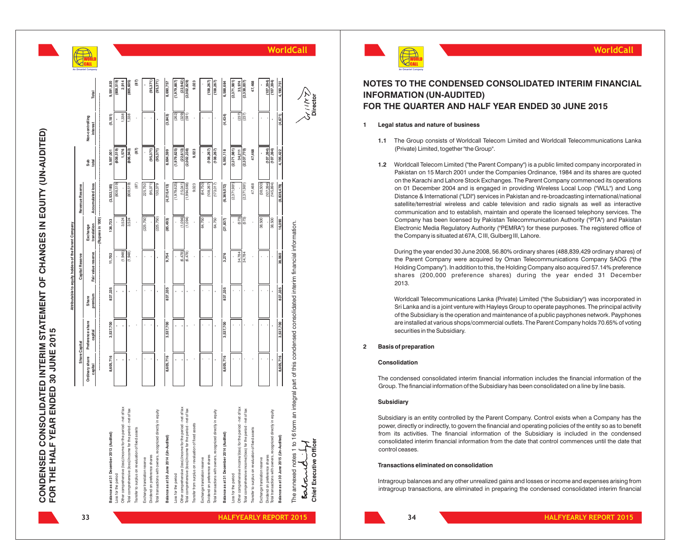ี่กิ

|                                                                                                                                                    |                           |                             |                  | Attributable to equity holders of the Parent Company |                         |                  |               |                                    |                  |                    |
|----------------------------------------------------------------------------------------------------------------------------------------------------|---------------------------|-----------------------------|------------------|------------------------------------------------------|-------------------------|------------------|---------------|------------------------------------|------------------|--------------------|
|                                                                                                                                                    |                           | Share Capital               |                  | Capital Reserve                                      |                         | Revenue Reserve  |               |                                    |                  |                    |
|                                                                                                                                                    | Ordinary share<br>capital | Preference share<br>capital | premium<br>Share | Fair value reserve                                   | translation<br>Exchange | Accumulated loss | Sub<br>total  | Non-controlling<br><b>interest</b> | Total            | An Omantel Company |
|                                                                                                                                                    |                           |                             |                  |                                                      | (000, ul seedng)-       |                  |               |                                    |                  |                    |
| Balance as at 31 December 2013 (Audited)                                                                                                           | 8,605,716                 | 3,537,700                   | 837,335          | 11,702                                               | 136,733                 | (3,532,185)      | 9,597,001     | (5, 181)                           | 9,591,820        |                    |
| Loss for the period                                                                                                                                |                           |                             |                  |                                                      |                         | (808, 519)       | (808, 519)    |                                    | (808, 519)       |                    |
| od - net of tax<br>Other comprehensive (loss)/income for the peri-                                                                                 |                           |                             |                  | (1,948)                                              | 3,524                   |                  | 1,576         | 1,338                              | 2,914            |                    |
| Total comprehensive (loss)/income for the period - net of tax                                                                                      |                           |                             |                  | (1,948)                                              | 3,524                   | (808, 519)       | (806, 943)    | 1,338                              | (805, 605)       |                    |
| Transfer to surplus on revaluation of fixed assets                                                                                                 |                           |                             |                  |                                                      |                         | (87)             | (87)          |                                    | (87)             |                    |
| Exchange translation reserve                                                                                                                       |                           |                             |                  |                                                      | (225, 750)              | 225,750          |               |                                    |                  |                    |
| Dividend on preference shares                                                                                                                      |                           |                             |                  |                                                      |                         | (95, 371)        | (95, 371)     |                                    | (95, 371)        |                    |
| Total transactions with owners, recognized directly in equity                                                                                      |                           |                             |                  |                                                      | (225, 750)              | 130,379          | (95, 371)     | J.                                 | (95, 371)        |                    |
| Balance as at 30 June 2014 (Un-Audited)                                                                                                            | 8,605,716                 | 3,537,700                   | 837,335          | 9,754                                                | (85, 493)               | (4, 210, 413)    | 8,694,599     | (3, 843)                           | 8,690,757        |                    |
| Loss for the period                                                                                                                                |                           |                             |                  |                                                      |                         | (1,979,625)      | (1,979,625)   | (262)                              | (1,979,867)      |                    |
| Other comprehensive (loss)/income for the period - net of tax<br>Total comprehensive (loss)/income for the period - net of tax                     |                           |                             |                  | (6,478)                                              | (1,094)                 | (15,041)         | (22, 613)     | (329)                              | (22, 942)        |                    |
|                                                                                                                                                    |                           |                             |                  | (6,478)                                              | (1,094)                 | (1,994,666)      | (2,002,238)   | (591)                              | (2,002,829)      |                    |
| Transfer from surplus on revaluation of fixed assets                                                                                               |                           |                             |                  | ł                                                    |                         | 9,023            | 9,023         |                                    | 9,023            |                    |
| Exchange translation reserve                                                                                                                       |                           |                             |                  |                                                      | 64,750                  | (64, 750)        |               |                                    |                  |                    |
| Dividend on preference shares                                                                                                                      |                           |                             |                  |                                                      |                         | (108, 267)       | (108, 267)    |                                    | (108, 267)       |                    |
| Total transactions with owners, recognized directly in equity                                                                                      | $\cdot$                   |                             | ï                |                                                      | 64,750                  | (173, 017)       | (108, 267)    | ï                                  | (108, 267)       |                    |
| Balance as at 31 December 2014 (Audited)                                                                                                           | 8,605,716                 | 3,537,700                   | 837,335          | 3,276                                                | (21, 837)               | (6, 369, 072)    | 6,593,118     | (4, 434)                           | 6,588,684        |                    |
| Loss for the period                                                                                                                                |                           |                             |                  |                                                      |                         | (2,371,981)      | (2,371,981)   |                                    | (2,371,981)      |                    |
|                                                                                                                                                    |                           |                             |                  | 34,784                                               | (573)                   |                  | 34,211        | (237)                              | 33,974           |                    |
| Other comprehensive income/(oss) for the period - net of tax<br>Total comprehensive income/(loss) for the period - net of tax                      |                           |                             |                  | 34,784                                               | (573)                   | (2, 371, 981)    | (2, 337, 770) | (237)                              | (2,338,007)      |                    |
| Transfer to surplus on revaluation of fixed assets                                                                                                 |                           |                             |                  |                                                      |                         | 47,468           | 47,468        |                                    | 47,468           |                    |
| Exchange translation reserve                                                                                                                       |                           |                             |                  |                                                      | 38,500                  | (38,500)         |               |                                    |                  |                    |
| Dividend on preference shares                                                                                                                      |                           |                             |                  |                                                      |                         | (107, 394)       | (107, 394)    |                                    | (107, 394)       |                    |
| Total transactions with owners, recognized directly in equity                                                                                      |                           |                             |                  |                                                      | 38,500                  | (145, 894)       | (107, 394)    |                                    | (107, 394)       |                    |
| Balance as at 30 June 2015 (Un-Audited)                                                                                                            | 8,605,716                 | 3,537,700                   | 837,335          | 38,060                                               | 16,090                  | (8, 839, 479)    | 4,195,422     | (4, 671)                           | 4,190,751        |                    |
| The annexed notes 1 to 16 form an integral part of this condensed consolidated interim financial information.<br>Chief Executive Officer<br>Eatand |                           |                             |                  |                                                      |                         |                  |               |                                    | メンニト<br>Director | WorldCall          |



## **NOTES TO THE CONDENSED CONSOLIDATED INTERIM FINANCIAL INFORMATION (UN-AUDITED) FOR THE QUARTER AND HALF YEAR ENDED 30 JUNE 2015**

#### **1 Legal status and nature of business**

- **1.1** The Group consists of Worldcall Telecom Limited and Worldcall Telecommunications Lanka (Private) Limited, together "the Group".
- **1.2** Worldcall Telecom Limited ("the Parent Company") is a public limited company incorporated in Pakistan on 15 March 2001 under the Companies Ordinance, 1984 and its shares are quoted on the Karachi and Lahore Stock Exchanges. The Parent Company commenced its operations on 01 December 2004 and is engaged in providing Wireless Local Loop ("WLL") and Long Distance & International ("LDI") services in Pakistan and re-broadcasting international/national satellite/terrestrial wireless and cable television and radio signals as well as interactive communication and to establish, maintain and operate the licensed telephony services. The Company has been licensed by Pakistan Telecommunication Authority ("PTA") and Pakistan Electronic Media Regulatory Authority ("PEMRA") for these purposes. The registered office of the Company is situated at 67A, C III, Gulberg III, Lahore. **INTERTIM METATRIC CONSTRANT CONSOLIDATED INTERTIM FINANCIAL<br>
<b>IFFER TO THE COUARTER AND HALF YEAR ENDED 30 JUNE 2015**<br> **IFFER TO COUP (UN-AUDITED)**<br> **IFFER COUARTER AND HALF YEAR ENDED 30 JUNE 2015**<br> **IFFER COUARTER AND H**

During the year ended 30 June 2008, 56.80% ordinary shares (488,839,429 ordinary shares) of the Parent Company were acquired by Oman Telecommunications Company SAOG ("the Holding Company"). In addition to this, the Holding Company also acquired 57.14% preference shares (200,000 preference shares) during the year ended <sup>31</sup> December 2013.

Worldcall Telecommunications Lanka (Private) Limited ("the Subsidiary") was incorporated in Sri Lanka and is a joint venture with Hayleys Group to operate payphones. The principal activity of the Subsidiary is the operation and maintenance of a public payphones network. Payphones are installed at various shops/commercial outlets. The Parent Company holds 70.65% of voting securities in the Subsidiary .

#### **2 Basis of preparation**

#### **Consolidation**

The condensed consolidated interim financial information includes the financial information of the Group. The financial information of the Subsidiary has been consolidated on a line by line basis.

#### **Subsidiary**

Subsidiary is an entity controlled by the Parent Company. Control exists when a Company has the power, directly or indirectly, to govern the financial and operating policies of the entity so as to benefit from its activities. The financial information of the Subsidiary is included in the condensed consolidated interim financial information from the date that control commences until the date that control ceases.

#### **Transactions eliminated on consolidation**

Intragroup balances and any other unrealized gains and losses or income and expenses arising from

**33**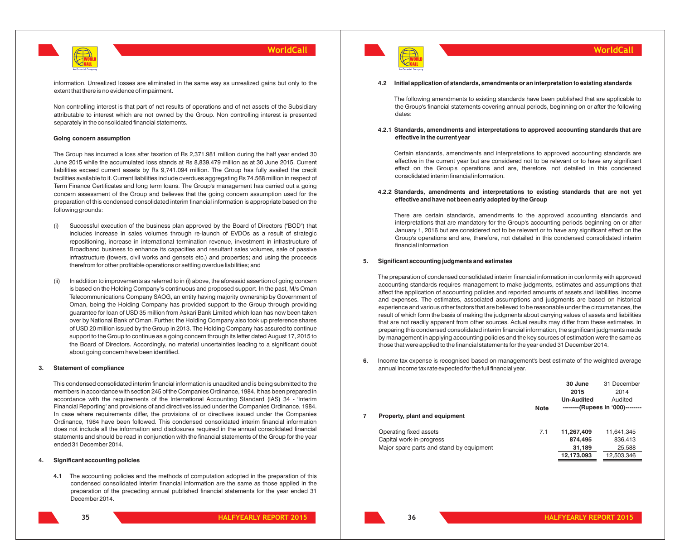

information. Unrealized losses are eliminated in the same way as unrealized gains but only to the extent that there is no evidence of impairment.

Non controlling interest is that part of net results of operations and of net assets of the Subsidiary attributable to interest which are not owned by the Group. Non controlling interest is presented separately in the consolidated financial statements.

#### **Going concern assumption**

The Group has incurred a loss after taxation of Rs 2,371.981 million during the half year ended 30 June 2015 while the accumulated loss stands at Rs 8,839.479 million as at 30 June 2015. Current liabilities exceed current assets by Rs 9,741.094 million. The Group has fully availed the credit facilities available to it. Current liabilities include overdues aggregating Rs 74.568 million in respect of Term Finance Certificates and long term loans. The Group's management has carried out a going concern assessment of the Group and believes that the going concern assumption used for the preparation of this condensed consolidated interim financial information is appropriate based on the following grounds:

- Successful execution of the business plan approved by the Board of Directors ("BOD") that includes increase in sales volumes through re-launch of EVDOs as a result of strategic repositioning, increase in international termination revenue, investment in infrastructure of Broadband business to enhance its capacities and resultant sales volumes, sale of passive infrastructure (towers, civil works and gensets etc.) and properties; and using the proceeds therefrom for other profitable operations or settling overdue liabilities; and
- (ii) In addition to improvements as referred to in (i) above, the aforesaid assertion of going concern is based on the Holding Company's continuous and proposed support. In the past, M/s Oman Telecommunications Company SAOG, an entity having majority ownership by Government of Oman, being the Holding Company has provided support to the Group through providing guarantee for loan of USD 35 million from Askari Bank Limited which loan has now been taken over by National Bank of Oman. Further, the Holding Company also took up preference shares of USD 20 million issued by the Group in 2013. The Holding Company has assured to continue support to the Group to continue as a going concern through its letter dated August 17, 2015 to the Board of Directors. Accordingly, no material uncertainties leading to a significant doubt about going concern have been identified.

#### **3. Statement of compliance**

This condensed consolidated interim financial information is unaudited and is being submitted to the members in accordance with section 245 of the Companies Ordinance, 1984. It has been prepared in accordance with the requirements of the International Accounting Standard (IAS) 34 - 'Interim Financial Reporting' and provisions of and directives issued under the Companies Ordinance, 1984. In case where requirements differ, the provisions of or directives issued under the Companies Ordinance, 1984 have been followed. This condensed consolidated interim financial information does not include all the information and disclosures required in the annual consolidated financial statements and should be read in conjunction with the financial statements of the Group for the year ended 31 December 2014.

#### **4. Significant accounting policies**

**4.1** The accounting policies and the methods of computation adopted in the preparation of this condensed consolidated interim financial information are the same as those applied in the preparation of the preceding annual published financial statements for the year ended 31 December 2014.



#### **WorldCall**

#### **4.2 Initial application of standards, amendments or an interpretation to existing standards**

The following amendments to existing standards have been published that are applicable to the Group's financial statements covering annual periods, beginning on or after the following dates:

#### **4.2.1 Standards, amendments and interpretations to approved accounting standards that are effective in the current year**

Certain standards, amendments and interpretations to approved accounting standards are effective in the current year but are considered not to be relevant or to have any significant effect on the Group's operations and are, therefore, not detailed in this condensed consolidated interim financial information.

#### **4.2.2 Standards, amendments and interpretations to existing standards that are not yet effective and have not been early adopted by the Group**

There are certain standards, amendments to the approved accounting standards and interpretations that are mandatory for the Group's accounting periods beginning on or after January 1, 2016 but are considered not to be relevant or to have any significant effect on the Group's operations and are, therefore, not detailed in this condensed consolidated interim financial information

#### **5. Significant accounting judgments and estimates**

The preparation of condensed consolidated interim financial information in conformity with approved accounting standards requires management to make judgments, estimates and assumptions that affect the application of accounting policies and reported amounts of assets and liabilities, income and expenses. The estimates, associated assumptions and judgments are based on historical experience and various other factors that are believed to be reasonable under the circumstances, the result of which form the basis of making the judgments about carrying values of assets and liabilities that are not readily apparent from other sources. Actual results may differ from these estimates. In preparing this condensed consolidated interim financial information, the significant judgments made by management in applying accounting policies and the key sources of estimation were the same as those that were applied to the financial statements for the year ended 31 December 2014.

**6.** Income tax expense is recognised based on management's best estimate of the weighted average annual income tax rate expected for the full financial year.

|   |                                          |             | 30 June           | 31 December                      |
|---|------------------------------------------|-------------|-------------------|----------------------------------|
|   |                                          |             | 2015              | 2014                             |
|   |                                          |             | <b>Un-Audited</b> | Audited                          |
|   |                                          | <b>Note</b> |                   | --------(Rupees in '000)-------- |
| 7 | Property, plant and equipment            |             |                   |                                  |
|   | Operating fixed assets                   | 7.1         | 11,267,409        | 11,641,345                       |
|   | Capital work-in-progress                 |             | 874,495           | 836,413                          |
|   | Major spare parts and stand-by equipment |             | 31,189            | 25,588                           |
|   |                                          |             | 12,173,093        | 12,503,346                       |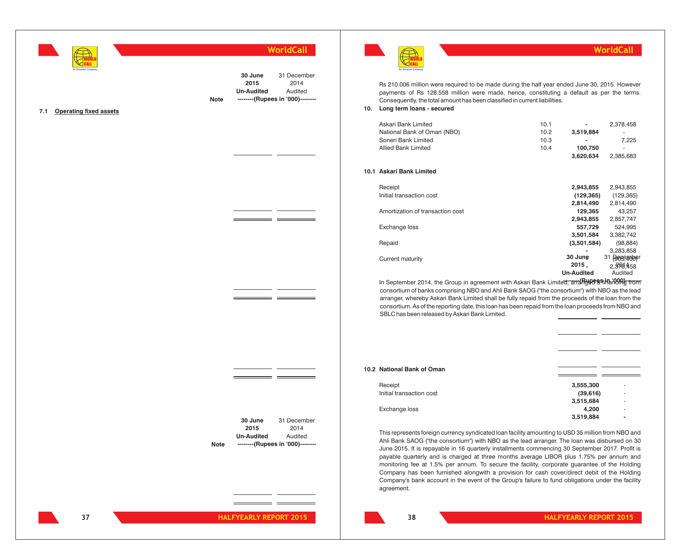

**30 June 2015 Un-Audited** 31 December 2014 Audited **Note --------(Rupees in '000)--------**

 $=$   $=$ 

- -

- -

#### **7.1 Operating fixed assets**





Rs 210.006 million were required to be made during the half year ended June 30, 2015. However payments of Rs 128.558 million were made, hence, constituting a default as per the terms. Consequently, the total amount has been classified in current liabilities.

**10. Long term loans - secured**

**10.1** 

| Askari Bank Limited                                                                           | 10.1 |                   | 2,378,458              |
|-----------------------------------------------------------------------------------------------|------|-------------------|------------------------|
| National Bank of Oman (NBO)                                                                   | 10.2 | 3,519,884         |                        |
|                                                                                               |      |                   |                        |
| Soneri Bank Limited                                                                           | 10.3 |                   | 7,225                  |
| <b>Allied Bank Limited</b>                                                                    | 10.4 | 100,750           |                        |
|                                                                                               |      | 3,620,634         | 2,385,683              |
| <b>Askari Bank Limited</b>                                                                    |      |                   |                        |
| Receipt                                                                                       |      | 2,943,855         | 2,943,855              |
| Initial transaction cost                                                                      |      | (129, 365)        | (129, 365)             |
|                                                                                               |      | 2,814,490         | 2,814,490              |
| Amortization of transaction cost                                                              |      | 129,365           | 43,257                 |
|                                                                                               |      | 2,943,855         | 2,857,747              |
| Exchange loss                                                                                 |      | 557,729           | 524,995                |
|                                                                                               |      | 3,501,584         | 3,382,742              |
| Repaid                                                                                        |      | (3,501,584)       | (98, 884)              |
|                                                                                               |      |                   | 3,283,858              |
| Current maturity                                                                              |      | 30 June           | 31<br><b>Reception</b> |
|                                                                                               |      | 2015.             | 2.3528.458             |
|                                                                                               |      | <b>Un-Audited</b> | Audited                |
| In September 2014, the Group in agreement with Askari Bank Limited; and Rulle estinaring from |      |                   |                        |

consortium of banks comprising NBO and Ahli Bank SAOG ("the consortium") with NBO as the lead arranger, whereby Askari Bank Limited shall be fully repaid from the proceeds of the loan from the consortium. As of the reporting date, this loan has been repaid from the loan proceeds from NBO and SBLC has been released by Askari Bank Limited.

| 10.2 National Bank of Oman |           |                          |  |
|----------------------------|-----------|--------------------------|--|
| Receipt                    | 3,555,300 | ۰                        |  |
| Initial transaction cost   | (39, 616) | ۰                        |  |
|                            | 3,515,684 | ۰                        |  |
| Exchange loss              | 4,200     | ٠                        |  |
|                            | 3,519,884 | $\overline{\phantom{a}}$ |  |
|                            |           |                          |  |

This represents foreign currency syndicated loan facility amounting to USD 35 million from NBO and Ahli Bank SAOG ("the consortium") with NBO as the lead arranger. The loan was disbursed on 30 June 2015. It is repayable in 16 quarterly installments commencing 30 September 2017. Profit is payable quarterly and is charged at three months average LIBOR plus 1.75% per annum and monitoring fee at 1.5% per annum. To secure the facility, corporate guarantee of the Holding Company has been furnished alongwith a provision for cash cover/direct debit of the Holding Company's bank account in the event of the Group's failure to fund obligations under the facility agreement.

**30 June 2015 Un-Audited**

**Note --------(Rupees in '000)--------**

31 December 2014 Audited

**38**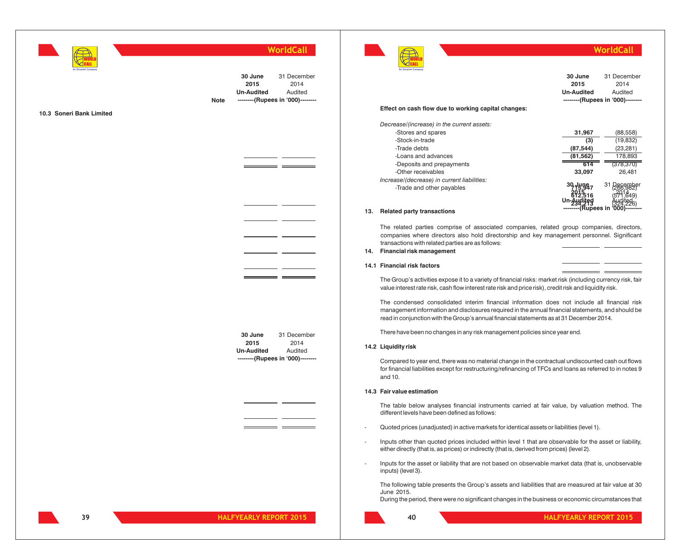

**30 June 2015 Un-Audited** 31 December 2014 Audited **Note --------(Rupees in '000)--------**

- -

\_\_\_

#### **10.3 Soneri Bank Limited**

WORLD CALL

**WorldCall**

| An Omantel Company                                  |                   |                                  |
|-----------------------------------------------------|-------------------|----------------------------------|
|                                                     | 30 June<br>2015   | 31 December<br>2014              |
|                                                     |                   |                                  |
|                                                     | <b>Un-Audited</b> | Audited                          |
|                                                     |                   | --------(Rupees in '000)-------- |
| Effect on cash flow due to working capital changes: |                   |                                  |
| Decrease/(increase) in the current assets:          |                   |                                  |
| -Stores and spares                                  | 31,967            | (88,558)                         |
| -Stock-in-trade                                     | (3)               | (19,832)                         |
| -Trade debts                                        | (87, 544)         | (23, 281)                        |
| -Loans and advances                                 | (81, 562)         | 178,893                          |
| -Deposits and prepayments                           | 614               | (378,370)                        |
| -Other receivables                                  | 33,097            | 26.481                           |
| Increase/(decrease) in current liabilities:         |                   |                                  |
| -Trade and other payables                           |                   | 3.                               |
|                                                     |                   |                                  |
|                                                     |                   |                                  |
|                                                     | upees in          |                                  |
| Doloted norty transpotions                          |                   |                                  |

#### **13. Related party transactions**

The related parties comprise of associated companies, related group companies, directors, companies where directors also hold directorship and key management personnel. Significant transactions with related parties are as follows:

#### **14. Financial risk management**

#### **14.1 Financial risk factors**

The Group's activities expose it to a variety of financial risks: market risk (including currency risk, fair value interest rate risk, cash flow interest rate risk and price risk), credit risk and liquidity risk.

The condensed consolidated interim financial information does not include all financial risk management information and disclosures required in the annual financial statements, and should be read in conjunction with the Group's annual financial statements as at 31 December 2014.

There have been no changes in any risk management policies since year end.

#### **14.2 Liquidity risk**

Compared to year end, there was no material change in the contractual undiscounted cash out flows for financial liabilities except for restructuring/refinancing of TFCs and loans as referred to in notes 9 and 10.

#### **14.3 Fair value estimation**

The table below analyses financial instruments carried at fair value, by valuation method. The different levels have been defined as follows:

- Quoted prices (unadjusted) in active markets for identical assets or liabilities (level 1).
- Inputs other than quoted prices included within level 1 that are observable for the asset or liability, either directly (that is, as prices) or indirectly (that is, derived from prices) (level 2).
- Inputs for the asset or liability that are not based on observable market data (that is, unobservable inputs) (level 3).

The following table presents the Group's assets and liabilities that are measured at fair value at 30 June 2015.

During the period, there were no significant changes in the business or economic circumstances that

**30 June 2015 Un-Audited** 31 December 2014 Audited

**--------(Rupees in '000)--------**

 $=$   $=$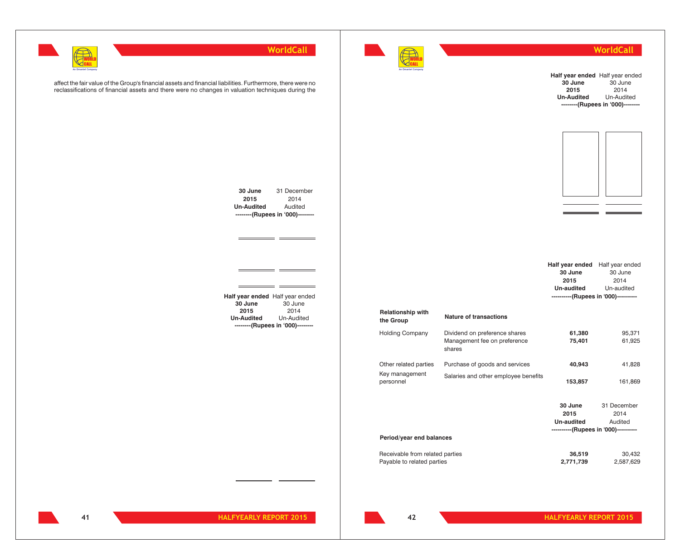

31 December 2014 Audited

\_\_\_\_\_\_\_\_

 $=$ 

 $\equiv$ 

**--------(Rupees in '000)--------**



### **WorldCall**

|                                                               |                                                                         | 30 June<br>2015<br><b>Un-Audited</b>                                                                     | Half year ended Half year ended<br>30 June<br>2014<br>Un-Audited<br>--------(Rupees in '000)-------- |
|---------------------------------------------------------------|-------------------------------------------------------------------------|----------------------------------------------------------------------------------------------------------|------------------------------------------------------------------------------------------------------|
|                                                               |                                                                         |                                                                                                          |                                                                                                      |
|                                                               |                                                                         | Half year ended Half year ended<br>30 June<br>2015<br>Un-audited<br>----------(Rupees in '000)---------- | 30 June<br>2014<br>Un-audited                                                                        |
| <b>Relationship with</b><br>the Group                         | <b>Nature of transactions</b>                                           |                                                                                                          |                                                                                                      |
| <b>Holding Company</b>                                        | Dividend on preference shares<br>Management fee on preference<br>shares | 61,380<br>75,401                                                                                         | 95,371<br>61,925                                                                                     |
| Other related parties                                         | Purchase of goods and services                                          | 40,943                                                                                                   | 41,828                                                                                               |
| Key management<br>personnel                                   | Salaries and other employee benefits                                    | 153,857                                                                                                  | 161,869                                                                                              |
|                                                               |                                                                         | 30 June<br>2015<br>Un-audited                                                                            | 31 December<br>2014<br>Audited                                                                       |
| Period/year end balances                                      |                                                                         | ----------(Rupees in '000)----------                                                                     |                                                                                                      |
| Receivable from related parties<br>Payable to related parties |                                                                         | 36,519<br>2,771,739                                                                                      | 30,432<br>2,587,629                                                                                  |

affect the fair value of the Group's financial assets and financial liabilities. Furthermore, there were no reclassifications of financial assets and there were no changes in valuation techniques during the

> **Half year ended** Half year ended **30 June 2015 Un-Audited** 30 June 2014 Un-Audited **--------(Rupees in '000)--------**

**30 June 2015 Un-Audited**

 $\equiv$ 

 $\overline{a}$ 

**41**